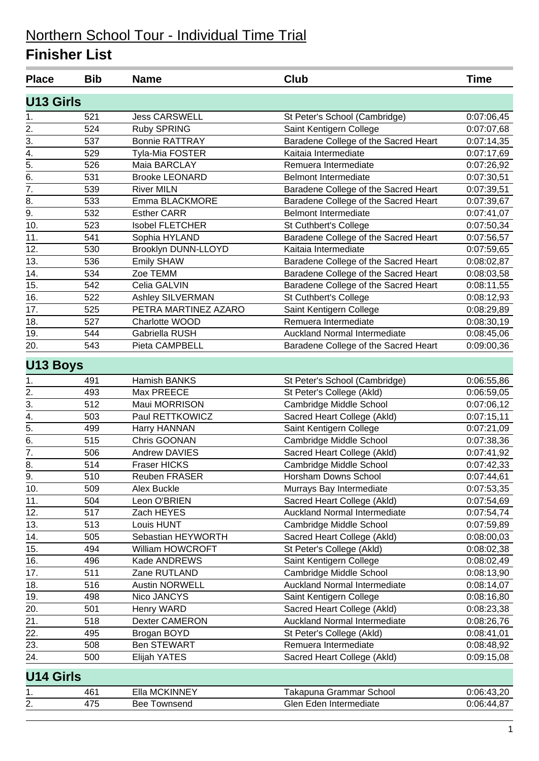| <b>Place</b>     | <b>Bib</b> | <b>Name</b>            | Club                                 | <b>Time</b>              |
|------------------|------------|------------------------|--------------------------------------|--------------------------|
| <b>U13 Girls</b> |            |                        |                                      |                          |
| 1.               | 521        | <b>Jess CARSWELL</b>   | St Peter's School (Cambridge)        | 0:07:06,45               |
| 2.               | 524        | <b>Ruby SPRING</b>     | Saint Kentigern College              | 0:07:07,68               |
| 3.               | 537        | <b>Bonnie RATTRAY</b>  | Baradene College of the Sacred Heart | 0:07:14,35               |
| 4.               | 529        | Tyla-Mia FOSTER        | Kaitaia Intermediate                 | 0:07:17,69               |
| 5.               | 526        | Maia BARCLAY           | Remuera Intermediate                 | 0:07:26,92               |
| 6.               | 531        | <b>Brooke LEONARD</b>  | <b>Belmont Intermediate</b>          | 0:07:30,51               |
| $\overline{7}$ . | 539        | <b>River MILN</b>      | Baradene College of the Sacred Heart | 0:07:39,51               |
| 8.               | 533        | Emma BLACKMORE         | Baradene College of the Sacred Heart | 0:07:39,67               |
| 9.               | 532        | <b>Esther CARR</b>     | <b>Belmont Intermediate</b>          | 0:07:41,07               |
| 10.              | 523        | <b>Isobel FLETCHER</b> | St Cuthbert's College                | 0:07:50,34               |
| 11.              | 541        | Sophia HYLAND          | Baradene College of the Sacred Heart | 0:07:56,57               |
| 12.              | 530        | Brooklyn DUNN-LLOYD    | Kaitaia Intermediate                 | 0:07:59,65               |
| 13.              | 536        | Emily SHAW             | Baradene College of the Sacred Heart | 0:08:02,87               |
| 14.              | 534        | Zoe TEMM               | Baradene College of the Sacred Heart | 0:08:03,58               |
| 15.              | 542        | Celia GALVIN           | Baradene College of the Sacred Heart | 0:08:11,55               |
| 16.              | 522        | Ashley SILVERMAN       | St Cuthbert's College                | 0:08:12,93               |
| 17.              | 525        | PETRA MARTINEZ AZARO   | Saint Kentigern College              | 0:08:29,89               |
| 18.              | 527        | Charlotte WOOD         | Remuera Intermediate                 | 0:08:30,19               |
| 19.              | 544        | Gabriella RUSH         | Auckland Normal Intermediate         | 0:08:45,06               |
| 20.              | 543        | Pieta CAMPBELL         | Baradene College of the Sacred Heart | 0:09:00,36               |
| <b>U13 Boys</b>  |            |                        |                                      |                          |
| 1.               | 491        | Hamish BANKS           | St Peter's School (Cambridge)        | 0:06:55,86               |
| 2.               | 493        | Max PREECE             | St Peter's College (Akld)            | 0:06:59,05               |
| $\overline{3}$ . | 512        | Maui MORRISON          | Cambridge Middle School              | 0:07:06,12               |
| 4.               | 503        | Paul RETTKOWICZ        | Sacred Heart College (Akld)          | 0:07:15,11               |
| $\overline{5}$ . | 499        | Harry HANNAN           | Saint Kentigern College              | 0:07:21,09               |
| 6.               | 515        | Chris GOONAN           | Cambridge Middle School              | 0:07:38,36               |
| 7.               | 506        | Andrew DAVIES          | Sacred Heart College (Akld)          | 0:07:41,92               |
| 8.               | 514        | <b>Fraser HICKS</b>    | Cambridge Middle School              | 0:07:42,33               |
| $\overline{9}$ . | 510        | <b>Reuben FRASER</b>   | Horsham Downs School                 | 0:07:44,61               |
| 10.              | 509        | Alex Buckle            | Murrays Bay Intermediate             | 0:07:53,35               |
| 11.              | 504        | Leon O'BRIEN           | Sacred Heart College (Akld)          | 0:07:54,69               |
| 12.              | 517        | Zach HEYES             | <b>Auckland Normal Intermediate</b>  | 0:07:54,74               |
| 13.              | 513        | Louis HUNT             | Cambridge Middle School              | 0:07:59,89               |
| 14.              | 505        | Sebastian HEYWORTH     | Sacred Heart College (Akld)          | 0:08:00,03               |
| 15.              | 494        | William HOWCROFT       | St Peter's College (Akld)            | 0:08:02,38               |
| 16.              | 496        | Kade ANDREWS           | Saint Kentigern College              | 0:08:02,49               |
| 17.              | 511        | Zane RUTLAND           | Cambridge Middle School              | 0:08:13,90               |
| 18.              | 516        | <b>Austin NORWELL</b>  | <b>Auckland Normal Intermediate</b>  | 0:08:14,07               |
| 19.              | 498        | Nico JANCYS            | Saint Kentigern College              | 0:08:16,80               |
| 20.              | 501        | Henry WARD             | Sacred Heart College (Akld)          | 0:08:23,38               |
| 21.              | 518        | Dexter CAMERON         | Auckland Normal Intermediate         | 0:08:26,76               |
| 22.              | 495        | Brogan BOYD            | St Peter's College (Akld)            |                          |
| 23.              | 508        | <b>Ben STEWART</b>     | Remuera Intermediate                 | 0:08:41,01               |
| 24.              | 500        | Elijah YATES           | Sacred Heart College (Akld)          | 0:08:48,92<br>0:09:15,08 |
|                  |            |                        |                                      |                          |
| <b>U14 Girls</b> |            |                        |                                      |                          |
| 1.               | 461        | Ella MCKINNEY          | Takapuna Grammar School              | 0:06:43,20               |
| 2.               | 475        | <b>Bee Townsend</b>    | Glen Eden Intermediate               | 0:06:44,87               |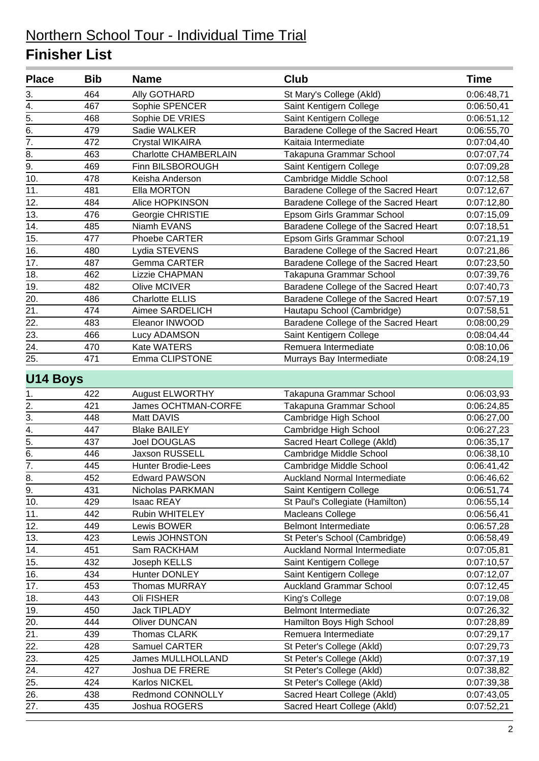| 464<br>3.<br><b>Ally GOTHARD</b><br>St Mary's College (Akld)<br>4.<br>467<br>Sophie SPENCER<br>Saint Kentigern College<br>5.<br>Saint Kentigern College<br>468<br>Sophie DE VRIES<br>6.<br>479<br>Sadie WALKER<br>Baradene College of the Sacred Heart<br>$\overline{7}$ .<br>472<br>Kaitaia Intermediate<br><b>Crystal WIKAIRA</b><br>8.<br>463<br><b>Charlotte CHAMBERLAIN</b><br>Takapuna Grammar School<br>9.<br>469<br>Finn BILSBOROUGH<br>Saint Kentigern College<br>10.<br>478<br>Cambridge Middle School<br>Keisha Anderson<br>11.<br>Baradene College of the Sacred Heart<br>481<br>Ella MORTON<br>12.<br>484<br>Alice HOPKINSON<br>Baradene College of the Sacred Heart<br>13.<br>476<br>Epsom Girls Grammar School<br>Georgie CHRISTIE<br>14.<br>Baradene College of the Sacred Heart<br>485<br>Niamh EVANS<br>15.<br>477<br>Epsom Girls Grammar School<br>Phoebe CARTER<br>16.<br>480<br>Baradene College of the Sacred Heart<br>Lydia STEVENS<br>17.<br>487<br>Gemma CARTER<br>Baradene College of the Sacred Heart<br>18.<br>462<br>Lizzie CHAPMAN<br>Takapuna Grammar School<br>19.<br>482<br>Baradene College of the Sacred Heart<br>Olive MCIVER<br>20.<br>486<br><b>Charlotte ELLIS</b><br>Baradene College of the Sacred Heart<br>21.<br>474<br>Aimee SARDELICH<br>Hautapu School (Cambridge)<br>22.<br>Baradene College of the Sacred Heart<br>483<br>Eleanor INWOOD<br>23.<br>466<br>Lucy ADAMSON<br>Saint Kentigern College<br>24.<br>Kate WATERS<br>470<br>Remuera Intermediate<br>25.<br>471<br>Emma CLIPSTONE<br>Murrays Bay Intermediate<br>U14 Boys<br><b>August ELWORTHY</b><br>422<br>Takapuna Grammar School<br>1.<br>2.<br>James OCHTMAN-CORFE<br>421<br>Takapuna Grammar School<br>$\overline{3}$ .<br>448<br>Cambridge High School<br>Matt DAVIS<br>$\overline{4}$ .<br>447<br><b>Blake BAILEY</b><br>Cambridge High School<br>$\overline{5}$ .<br>437<br>Sacred Heart College (Akld)<br>Joel DOUGLAS<br>6.<br>446<br>Jaxson RUSSELL<br>Cambridge Middle School<br>7.<br>445<br><b>Hunter Brodie-Lees</b><br>Cambridge Middle School<br>452<br>Auckland Normal Intermediate<br>8.<br><b>Edward PAWSON</b><br>9.<br>431<br>Nicholas PARKMAN<br>Saint Kentigern College<br>429<br>Isaac REAY<br>St Paul's Collegiate (Hamilton)<br>10.<br>11.<br>442<br>Rubin WHITELEY<br>Macleans College<br>12.<br><b>Belmont Intermediate</b><br>449<br>Lewis BOWER<br>13.<br>423<br>Lewis JOHNSTON<br>St Peter's School (Cambridge)<br>14.<br>451<br><b>Auckland Normal Intermediate</b><br>Sam RACKHAM<br>15.<br>432<br>Joseph KELLS<br>Saint Kentigern College<br>16.<br>Saint Kentigern College<br>434<br>Hunter DONLEY<br>17.<br><b>Auckland Grammar School</b><br>453<br><b>Thomas MURRAY</b><br>18.<br>443<br>Oli FISHER<br>King's College<br>19.<br>450<br>Jack TIPLADY<br><b>Belmont Intermediate</b><br>Hamilton Boys High School<br>20.<br>444<br><b>Oliver DUNCAN</b><br>21.<br>Thomas CLARK<br>Remuera Intermediate<br>439<br>22.<br>428<br>Samuel CARTER<br>St Peter's College (Akld)<br>23.<br>St Peter's College (Akld)<br>425<br>James MULLHOLLAND<br>24.<br>427<br>Joshua DE FRERE<br>St Peter's College (Akld) | <b>Place</b> | <b>Bib</b> | <b>Name</b> | Club | <b>Time</b> |
|-----------------------------------------------------------------------------------------------------------------------------------------------------------------------------------------------------------------------------------------------------------------------------------------------------------------------------------------------------------------------------------------------------------------------------------------------------------------------------------------------------------------------------------------------------------------------------------------------------------------------------------------------------------------------------------------------------------------------------------------------------------------------------------------------------------------------------------------------------------------------------------------------------------------------------------------------------------------------------------------------------------------------------------------------------------------------------------------------------------------------------------------------------------------------------------------------------------------------------------------------------------------------------------------------------------------------------------------------------------------------------------------------------------------------------------------------------------------------------------------------------------------------------------------------------------------------------------------------------------------------------------------------------------------------------------------------------------------------------------------------------------------------------------------------------------------------------------------------------------------------------------------------------------------------------------------------------------------------------------------------------------------------------------------------------------------------------------------------------------------------------------------------------------------------------------------------------------------------------------------------------------------------------------------------------------------------------------------------------------------------------------------------------------------------------------------------------------------------------------------------------------------------------------------------------------------------------------------------------------------------------------------------------------------------------------------------------------------------------------------------------------------------------------------------------------------------------------------------------------------------------------------------------------------------------------------------------------------------------------------------------------------------------------------------------------------------------------------------------------------------------------------------------|--------------|------------|-------------|------|-------------|
|                                                                                                                                                                                                                                                                                                                                                                                                                                                                                                                                                                                                                                                                                                                                                                                                                                                                                                                                                                                                                                                                                                                                                                                                                                                                                                                                                                                                                                                                                                                                                                                                                                                                                                                                                                                                                                                                                                                                                                                                                                                                                                                                                                                                                                                                                                                                                                                                                                                                                                                                                                                                                                                                                                                                                                                                                                                                                                                                                                                                                                                                                                                                                     |              |            |             |      | 0:06:48,71  |
|                                                                                                                                                                                                                                                                                                                                                                                                                                                                                                                                                                                                                                                                                                                                                                                                                                                                                                                                                                                                                                                                                                                                                                                                                                                                                                                                                                                                                                                                                                                                                                                                                                                                                                                                                                                                                                                                                                                                                                                                                                                                                                                                                                                                                                                                                                                                                                                                                                                                                                                                                                                                                                                                                                                                                                                                                                                                                                                                                                                                                                                                                                                                                     |              |            |             |      | 0:06:50,41  |
|                                                                                                                                                                                                                                                                                                                                                                                                                                                                                                                                                                                                                                                                                                                                                                                                                                                                                                                                                                                                                                                                                                                                                                                                                                                                                                                                                                                                                                                                                                                                                                                                                                                                                                                                                                                                                                                                                                                                                                                                                                                                                                                                                                                                                                                                                                                                                                                                                                                                                                                                                                                                                                                                                                                                                                                                                                                                                                                                                                                                                                                                                                                                                     |              |            |             |      | 0:06:51,12  |
|                                                                                                                                                                                                                                                                                                                                                                                                                                                                                                                                                                                                                                                                                                                                                                                                                                                                                                                                                                                                                                                                                                                                                                                                                                                                                                                                                                                                                                                                                                                                                                                                                                                                                                                                                                                                                                                                                                                                                                                                                                                                                                                                                                                                                                                                                                                                                                                                                                                                                                                                                                                                                                                                                                                                                                                                                                                                                                                                                                                                                                                                                                                                                     |              |            |             |      | 0:06:55,70  |
|                                                                                                                                                                                                                                                                                                                                                                                                                                                                                                                                                                                                                                                                                                                                                                                                                                                                                                                                                                                                                                                                                                                                                                                                                                                                                                                                                                                                                                                                                                                                                                                                                                                                                                                                                                                                                                                                                                                                                                                                                                                                                                                                                                                                                                                                                                                                                                                                                                                                                                                                                                                                                                                                                                                                                                                                                                                                                                                                                                                                                                                                                                                                                     |              |            |             |      | 0:07:04,40  |
|                                                                                                                                                                                                                                                                                                                                                                                                                                                                                                                                                                                                                                                                                                                                                                                                                                                                                                                                                                                                                                                                                                                                                                                                                                                                                                                                                                                                                                                                                                                                                                                                                                                                                                                                                                                                                                                                                                                                                                                                                                                                                                                                                                                                                                                                                                                                                                                                                                                                                                                                                                                                                                                                                                                                                                                                                                                                                                                                                                                                                                                                                                                                                     |              |            |             |      | 0:07:07,74  |
|                                                                                                                                                                                                                                                                                                                                                                                                                                                                                                                                                                                                                                                                                                                                                                                                                                                                                                                                                                                                                                                                                                                                                                                                                                                                                                                                                                                                                                                                                                                                                                                                                                                                                                                                                                                                                                                                                                                                                                                                                                                                                                                                                                                                                                                                                                                                                                                                                                                                                                                                                                                                                                                                                                                                                                                                                                                                                                                                                                                                                                                                                                                                                     |              |            |             |      | 0:07:09,28  |
|                                                                                                                                                                                                                                                                                                                                                                                                                                                                                                                                                                                                                                                                                                                                                                                                                                                                                                                                                                                                                                                                                                                                                                                                                                                                                                                                                                                                                                                                                                                                                                                                                                                                                                                                                                                                                                                                                                                                                                                                                                                                                                                                                                                                                                                                                                                                                                                                                                                                                                                                                                                                                                                                                                                                                                                                                                                                                                                                                                                                                                                                                                                                                     |              |            |             |      | 0:07:12,58  |
|                                                                                                                                                                                                                                                                                                                                                                                                                                                                                                                                                                                                                                                                                                                                                                                                                                                                                                                                                                                                                                                                                                                                                                                                                                                                                                                                                                                                                                                                                                                                                                                                                                                                                                                                                                                                                                                                                                                                                                                                                                                                                                                                                                                                                                                                                                                                                                                                                                                                                                                                                                                                                                                                                                                                                                                                                                                                                                                                                                                                                                                                                                                                                     |              |            |             |      | 0:07:12,67  |
|                                                                                                                                                                                                                                                                                                                                                                                                                                                                                                                                                                                                                                                                                                                                                                                                                                                                                                                                                                                                                                                                                                                                                                                                                                                                                                                                                                                                                                                                                                                                                                                                                                                                                                                                                                                                                                                                                                                                                                                                                                                                                                                                                                                                                                                                                                                                                                                                                                                                                                                                                                                                                                                                                                                                                                                                                                                                                                                                                                                                                                                                                                                                                     |              |            |             |      | 0:07:12,80  |
|                                                                                                                                                                                                                                                                                                                                                                                                                                                                                                                                                                                                                                                                                                                                                                                                                                                                                                                                                                                                                                                                                                                                                                                                                                                                                                                                                                                                                                                                                                                                                                                                                                                                                                                                                                                                                                                                                                                                                                                                                                                                                                                                                                                                                                                                                                                                                                                                                                                                                                                                                                                                                                                                                                                                                                                                                                                                                                                                                                                                                                                                                                                                                     |              |            |             |      | 0:07:15,09  |
|                                                                                                                                                                                                                                                                                                                                                                                                                                                                                                                                                                                                                                                                                                                                                                                                                                                                                                                                                                                                                                                                                                                                                                                                                                                                                                                                                                                                                                                                                                                                                                                                                                                                                                                                                                                                                                                                                                                                                                                                                                                                                                                                                                                                                                                                                                                                                                                                                                                                                                                                                                                                                                                                                                                                                                                                                                                                                                                                                                                                                                                                                                                                                     |              |            |             |      | 0:07:18,51  |
|                                                                                                                                                                                                                                                                                                                                                                                                                                                                                                                                                                                                                                                                                                                                                                                                                                                                                                                                                                                                                                                                                                                                                                                                                                                                                                                                                                                                                                                                                                                                                                                                                                                                                                                                                                                                                                                                                                                                                                                                                                                                                                                                                                                                                                                                                                                                                                                                                                                                                                                                                                                                                                                                                                                                                                                                                                                                                                                                                                                                                                                                                                                                                     |              |            |             |      | 0:07:21,19  |
|                                                                                                                                                                                                                                                                                                                                                                                                                                                                                                                                                                                                                                                                                                                                                                                                                                                                                                                                                                                                                                                                                                                                                                                                                                                                                                                                                                                                                                                                                                                                                                                                                                                                                                                                                                                                                                                                                                                                                                                                                                                                                                                                                                                                                                                                                                                                                                                                                                                                                                                                                                                                                                                                                                                                                                                                                                                                                                                                                                                                                                                                                                                                                     |              |            |             |      | 0:07:21,86  |
|                                                                                                                                                                                                                                                                                                                                                                                                                                                                                                                                                                                                                                                                                                                                                                                                                                                                                                                                                                                                                                                                                                                                                                                                                                                                                                                                                                                                                                                                                                                                                                                                                                                                                                                                                                                                                                                                                                                                                                                                                                                                                                                                                                                                                                                                                                                                                                                                                                                                                                                                                                                                                                                                                                                                                                                                                                                                                                                                                                                                                                                                                                                                                     |              |            |             |      | 0:07:23,50  |
|                                                                                                                                                                                                                                                                                                                                                                                                                                                                                                                                                                                                                                                                                                                                                                                                                                                                                                                                                                                                                                                                                                                                                                                                                                                                                                                                                                                                                                                                                                                                                                                                                                                                                                                                                                                                                                                                                                                                                                                                                                                                                                                                                                                                                                                                                                                                                                                                                                                                                                                                                                                                                                                                                                                                                                                                                                                                                                                                                                                                                                                                                                                                                     |              |            |             |      | 0:07:39,76  |
|                                                                                                                                                                                                                                                                                                                                                                                                                                                                                                                                                                                                                                                                                                                                                                                                                                                                                                                                                                                                                                                                                                                                                                                                                                                                                                                                                                                                                                                                                                                                                                                                                                                                                                                                                                                                                                                                                                                                                                                                                                                                                                                                                                                                                                                                                                                                                                                                                                                                                                                                                                                                                                                                                                                                                                                                                                                                                                                                                                                                                                                                                                                                                     |              |            |             |      | 0:07:40,73  |
|                                                                                                                                                                                                                                                                                                                                                                                                                                                                                                                                                                                                                                                                                                                                                                                                                                                                                                                                                                                                                                                                                                                                                                                                                                                                                                                                                                                                                                                                                                                                                                                                                                                                                                                                                                                                                                                                                                                                                                                                                                                                                                                                                                                                                                                                                                                                                                                                                                                                                                                                                                                                                                                                                                                                                                                                                                                                                                                                                                                                                                                                                                                                                     |              |            |             |      | 0:07:57,19  |
|                                                                                                                                                                                                                                                                                                                                                                                                                                                                                                                                                                                                                                                                                                                                                                                                                                                                                                                                                                                                                                                                                                                                                                                                                                                                                                                                                                                                                                                                                                                                                                                                                                                                                                                                                                                                                                                                                                                                                                                                                                                                                                                                                                                                                                                                                                                                                                                                                                                                                                                                                                                                                                                                                                                                                                                                                                                                                                                                                                                                                                                                                                                                                     |              |            |             |      | 0:07:58,51  |
|                                                                                                                                                                                                                                                                                                                                                                                                                                                                                                                                                                                                                                                                                                                                                                                                                                                                                                                                                                                                                                                                                                                                                                                                                                                                                                                                                                                                                                                                                                                                                                                                                                                                                                                                                                                                                                                                                                                                                                                                                                                                                                                                                                                                                                                                                                                                                                                                                                                                                                                                                                                                                                                                                                                                                                                                                                                                                                                                                                                                                                                                                                                                                     |              |            |             |      | 0:08:00,29  |
|                                                                                                                                                                                                                                                                                                                                                                                                                                                                                                                                                                                                                                                                                                                                                                                                                                                                                                                                                                                                                                                                                                                                                                                                                                                                                                                                                                                                                                                                                                                                                                                                                                                                                                                                                                                                                                                                                                                                                                                                                                                                                                                                                                                                                                                                                                                                                                                                                                                                                                                                                                                                                                                                                                                                                                                                                                                                                                                                                                                                                                                                                                                                                     |              |            |             |      | 0:08:04,44  |
|                                                                                                                                                                                                                                                                                                                                                                                                                                                                                                                                                                                                                                                                                                                                                                                                                                                                                                                                                                                                                                                                                                                                                                                                                                                                                                                                                                                                                                                                                                                                                                                                                                                                                                                                                                                                                                                                                                                                                                                                                                                                                                                                                                                                                                                                                                                                                                                                                                                                                                                                                                                                                                                                                                                                                                                                                                                                                                                                                                                                                                                                                                                                                     |              |            |             |      | 0:08:10,06  |
|                                                                                                                                                                                                                                                                                                                                                                                                                                                                                                                                                                                                                                                                                                                                                                                                                                                                                                                                                                                                                                                                                                                                                                                                                                                                                                                                                                                                                                                                                                                                                                                                                                                                                                                                                                                                                                                                                                                                                                                                                                                                                                                                                                                                                                                                                                                                                                                                                                                                                                                                                                                                                                                                                                                                                                                                                                                                                                                                                                                                                                                                                                                                                     |              |            |             |      | 0:08:24,19  |
|                                                                                                                                                                                                                                                                                                                                                                                                                                                                                                                                                                                                                                                                                                                                                                                                                                                                                                                                                                                                                                                                                                                                                                                                                                                                                                                                                                                                                                                                                                                                                                                                                                                                                                                                                                                                                                                                                                                                                                                                                                                                                                                                                                                                                                                                                                                                                                                                                                                                                                                                                                                                                                                                                                                                                                                                                                                                                                                                                                                                                                                                                                                                                     |              |            |             |      |             |
|                                                                                                                                                                                                                                                                                                                                                                                                                                                                                                                                                                                                                                                                                                                                                                                                                                                                                                                                                                                                                                                                                                                                                                                                                                                                                                                                                                                                                                                                                                                                                                                                                                                                                                                                                                                                                                                                                                                                                                                                                                                                                                                                                                                                                                                                                                                                                                                                                                                                                                                                                                                                                                                                                                                                                                                                                                                                                                                                                                                                                                                                                                                                                     |              |            |             |      | 0:06:03,93  |
|                                                                                                                                                                                                                                                                                                                                                                                                                                                                                                                                                                                                                                                                                                                                                                                                                                                                                                                                                                                                                                                                                                                                                                                                                                                                                                                                                                                                                                                                                                                                                                                                                                                                                                                                                                                                                                                                                                                                                                                                                                                                                                                                                                                                                                                                                                                                                                                                                                                                                                                                                                                                                                                                                                                                                                                                                                                                                                                                                                                                                                                                                                                                                     |              |            |             |      | 0:06:24,85  |
|                                                                                                                                                                                                                                                                                                                                                                                                                                                                                                                                                                                                                                                                                                                                                                                                                                                                                                                                                                                                                                                                                                                                                                                                                                                                                                                                                                                                                                                                                                                                                                                                                                                                                                                                                                                                                                                                                                                                                                                                                                                                                                                                                                                                                                                                                                                                                                                                                                                                                                                                                                                                                                                                                                                                                                                                                                                                                                                                                                                                                                                                                                                                                     |              |            |             |      | 0:06:27,00  |
|                                                                                                                                                                                                                                                                                                                                                                                                                                                                                                                                                                                                                                                                                                                                                                                                                                                                                                                                                                                                                                                                                                                                                                                                                                                                                                                                                                                                                                                                                                                                                                                                                                                                                                                                                                                                                                                                                                                                                                                                                                                                                                                                                                                                                                                                                                                                                                                                                                                                                                                                                                                                                                                                                                                                                                                                                                                                                                                                                                                                                                                                                                                                                     |              |            |             |      | 0:06:27,23  |
|                                                                                                                                                                                                                                                                                                                                                                                                                                                                                                                                                                                                                                                                                                                                                                                                                                                                                                                                                                                                                                                                                                                                                                                                                                                                                                                                                                                                                                                                                                                                                                                                                                                                                                                                                                                                                                                                                                                                                                                                                                                                                                                                                                                                                                                                                                                                                                                                                                                                                                                                                                                                                                                                                                                                                                                                                                                                                                                                                                                                                                                                                                                                                     |              |            |             |      | 0:06:35,17  |
|                                                                                                                                                                                                                                                                                                                                                                                                                                                                                                                                                                                                                                                                                                                                                                                                                                                                                                                                                                                                                                                                                                                                                                                                                                                                                                                                                                                                                                                                                                                                                                                                                                                                                                                                                                                                                                                                                                                                                                                                                                                                                                                                                                                                                                                                                                                                                                                                                                                                                                                                                                                                                                                                                                                                                                                                                                                                                                                                                                                                                                                                                                                                                     |              |            |             |      | 0:06:38,10  |
|                                                                                                                                                                                                                                                                                                                                                                                                                                                                                                                                                                                                                                                                                                                                                                                                                                                                                                                                                                                                                                                                                                                                                                                                                                                                                                                                                                                                                                                                                                                                                                                                                                                                                                                                                                                                                                                                                                                                                                                                                                                                                                                                                                                                                                                                                                                                                                                                                                                                                                                                                                                                                                                                                                                                                                                                                                                                                                                                                                                                                                                                                                                                                     |              |            |             |      | 0:06:41,42  |
|                                                                                                                                                                                                                                                                                                                                                                                                                                                                                                                                                                                                                                                                                                                                                                                                                                                                                                                                                                                                                                                                                                                                                                                                                                                                                                                                                                                                                                                                                                                                                                                                                                                                                                                                                                                                                                                                                                                                                                                                                                                                                                                                                                                                                                                                                                                                                                                                                                                                                                                                                                                                                                                                                                                                                                                                                                                                                                                                                                                                                                                                                                                                                     |              |            |             |      | 0:06:46,62  |
|                                                                                                                                                                                                                                                                                                                                                                                                                                                                                                                                                                                                                                                                                                                                                                                                                                                                                                                                                                                                                                                                                                                                                                                                                                                                                                                                                                                                                                                                                                                                                                                                                                                                                                                                                                                                                                                                                                                                                                                                                                                                                                                                                                                                                                                                                                                                                                                                                                                                                                                                                                                                                                                                                                                                                                                                                                                                                                                                                                                                                                                                                                                                                     |              |            |             |      | 0:06:51,74  |
|                                                                                                                                                                                                                                                                                                                                                                                                                                                                                                                                                                                                                                                                                                                                                                                                                                                                                                                                                                                                                                                                                                                                                                                                                                                                                                                                                                                                                                                                                                                                                                                                                                                                                                                                                                                                                                                                                                                                                                                                                                                                                                                                                                                                                                                                                                                                                                                                                                                                                                                                                                                                                                                                                                                                                                                                                                                                                                                                                                                                                                                                                                                                                     |              |            |             |      | 0:06:55,14  |
|                                                                                                                                                                                                                                                                                                                                                                                                                                                                                                                                                                                                                                                                                                                                                                                                                                                                                                                                                                                                                                                                                                                                                                                                                                                                                                                                                                                                                                                                                                                                                                                                                                                                                                                                                                                                                                                                                                                                                                                                                                                                                                                                                                                                                                                                                                                                                                                                                                                                                                                                                                                                                                                                                                                                                                                                                                                                                                                                                                                                                                                                                                                                                     |              |            |             |      | 0:06:56,41  |
|                                                                                                                                                                                                                                                                                                                                                                                                                                                                                                                                                                                                                                                                                                                                                                                                                                                                                                                                                                                                                                                                                                                                                                                                                                                                                                                                                                                                                                                                                                                                                                                                                                                                                                                                                                                                                                                                                                                                                                                                                                                                                                                                                                                                                                                                                                                                                                                                                                                                                                                                                                                                                                                                                                                                                                                                                                                                                                                                                                                                                                                                                                                                                     |              |            |             |      | 0:06:57,28  |
|                                                                                                                                                                                                                                                                                                                                                                                                                                                                                                                                                                                                                                                                                                                                                                                                                                                                                                                                                                                                                                                                                                                                                                                                                                                                                                                                                                                                                                                                                                                                                                                                                                                                                                                                                                                                                                                                                                                                                                                                                                                                                                                                                                                                                                                                                                                                                                                                                                                                                                                                                                                                                                                                                                                                                                                                                                                                                                                                                                                                                                                                                                                                                     |              |            |             |      | 0:06:58,49  |
|                                                                                                                                                                                                                                                                                                                                                                                                                                                                                                                                                                                                                                                                                                                                                                                                                                                                                                                                                                                                                                                                                                                                                                                                                                                                                                                                                                                                                                                                                                                                                                                                                                                                                                                                                                                                                                                                                                                                                                                                                                                                                                                                                                                                                                                                                                                                                                                                                                                                                                                                                                                                                                                                                                                                                                                                                                                                                                                                                                                                                                                                                                                                                     |              |            |             |      | 0:07:05,81  |
|                                                                                                                                                                                                                                                                                                                                                                                                                                                                                                                                                                                                                                                                                                                                                                                                                                                                                                                                                                                                                                                                                                                                                                                                                                                                                                                                                                                                                                                                                                                                                                                                                                                                                                                                                                                                                                                                                                                                                                                                                                                                                                                                                                                                                                                                                                                                                                                                                                                                                                                                                                                                                                                                                                                                                                                                                                                                                                                                                                                                                                                                                                                                                     |              |            |             |      | 0:07:10,57  |
|                                                                                                                                                                                                                                                                                                                                                                                                                                                                                                                                                                                                                                                                                                                                                                                                                                                                                                                                                                                                                                                                                                                                                                                                                                                                                                                                                                                                                                                                                                                                                                                                                                                                                                                                                                                                                                                                                                                                                                                                                                                                                                                                                                                                                                                                                                                                                                                                                                                                                                                                                                                                                                                                                                                                                                                                                                                                                                                                                                                                                                                                                                                                                     |              |            |             |      | 0:07:12,07  |
|                                                                                                                                                                                                                                                                                                                                                                                                                                                                                                                                                                                                                                                                                                                                                                                                                                                                                                                                                                                                                                                                                                                                                                                                                                                                                                                                                                                                                                                                                                                                                                                                                                                                                                                                                                                                                                                                                                                                                                                                                                                                                                                                                                                                                                                                                                                                                                                                                                                                                                                                                                                                                                                                                                                                                                                                                                                                                                                                                                                                                                                                                                                                                     |              |            |             |      | 0:07:12,45  |
|                                                                                                                                                                                                                                                                                                                                                                                                                                                                                                                                                                                                                                                                                                                                                                                                                                                                                                                                                                                                                                                                                                                                                                                                                                                                                                                                                                                                                                                                                                                                                                                                                                                                                                                                                                                                                                                                                                                                                                                                                                                                                                                                                                                                                                                                                                                                                                                                                                                                                                                                                                                                                                                                                                                                                                                                                                                                                                                                                                                                                                                                                                                                                     |              |            |             |      | 0:07:19,08  |
|                                                                                                                                                                                                                                                                                                                                                                                                                                                                                                                                                                                                                                                                                                                                                                                                                                                                                                                                                                                                                                                                                                                                                                                                                                                                                                                                                                                                                                                                                                                                                                                                                                                                                                                                                                                                                                                                                                                                                                                                                                                                                                                                                                                                                                                                                                                                                                                                                                                                                                                                                                                                                                                                                                                                                                                                                                                                                                                                                                                                                                                                                                                                                     |              |            |             |      | 0:07:26,32  |
|                                                                                                                                                                                                                                                                                                                                                                                                                                                                                                                                                                                                                                                                                                                                                                                                                                                                                                                                                                                                                                                                                                                                                                                                                                                                                                                                                                                                                                                                                                                                                                                                                                                                                                                                                                                                                                                                                                                                                                                                                                                                                                                                                                                                                                                                                                                                                                                                                                                                                                                                                                                                                                                                                                                                                                                                                                                                                                                                                                                                                                                                                                                                                     |              |            |             |      | 0:07:28,89  |
|                                                                                                                                                                                                                                                                                                                                                                                                                                                                                                                                                                                                                                                                                                                                                                                                                                                                                                                                                                                                                                                                                                                                                                                                                                                                                                                                                                                                                                                                                                                                                                                                                                                                                                                                                                                                                                                                                                                                                                                                                                                                                                                                                                                                                                                                                                                                                                                                                                                                                                                                                                                                                                                                                                                                                                                                                                                                                                                                                                                                                                                                                                                                                     |              |            |             |      | 0:07:29,17  |
|                                                                                                                                                                                                                                                                                                                                                                                                                                                                                                                                                                                                                                                                                                                                                                                                                                                                                                                                                                                                                                                                                                                                                                                                                                                                                                                                                                                                                                                                                                                                                                                                                                                                                                                                                                                                                                                                                                                                                                                                                                                                                                                                                                                                                                                                                                                                                                                                                                                                                                                                                                                                                                                                                                                                                                                                                                                                                                                                                                                                                                                                                                                                                     |              |            |             |      | 0:07:29,73  |
|                                                                                                                                                                                                                                                                                                                                                                                                                                                                                                                                                                                                                                                                                                                                                                                                                                                                                                                                                                                                                                                                                                                                                                                                                                                                                                                                                                                                                                                                                                                                                                                                                                                                                                                                                                                                                                                                                                                                                                                                                                                                                                                                                                                                                                                                                                                                                                                                                                                                                                                                                                                                                                                                                                                                                                                                                                                                                                                                                                                                                                                                                                                                                     |              |            |             |      | 0:07:37,19  |
|                                                                                                                                                                                                                                                                                                                                                                                                                                                                                                                                                                                                                                                                                                                                                                                                                                                                                                                                                                                                                                                                                                                                                                                                                                                                                                                                                                                                                                                                                                                                                                                                                                                                                                                                                                                                                                                                                                                                                                                                                                                                                                                                                                                                                                                                                                                                                                                                                                                                                                                                                                                                                                                                                                                                                                                                                                                                                                                                                                                                                                                                                                                                                     |              |            |             |      | 0:07:38,82  |
| 25.<br>424<br>Karlos NICKEL<br>St Peter's College (Akld)                                                                                                                                                                                                                                                                                                                                                                                                                                                                                                                                                                                                                                                                                                                                                                                                                                                                                                                                                                                                                                                                                                                                                                                                                                                                                                                                                                                                                                                                                                                                                                                                                                                                                                                                                                                                                                                                                                                                                                                                                                                                                                                                                                                                                                                                                                                                                                                                                                                                                                                                                                                                                                                                                                                                                                                                                                                                                                                                                                                                                                                                                            |              |            |             |      | 0:07:39,38  |
| 26.<br>Sacred Heart College (Akld)<br>438<br>Redmond CONNOLLY                                                                                                                                                                                                                                                                                                                                                                                                                                                                                                                                                                                                                                                                                                                                                                                                                                                                                                                                                                                                                                                                                                                                                                                                                                                                                                                                                                                                                                                                                                                                                                                                                                                                                                                                                                                                                                                                                                                                                                                                                                                                                                                                                                                                                                                                                                                                                                                                                                                                                                                                                                                                                                                                                                                                                                                                                                                                                                                                                                                                                                                                                       |              |            |             |      | 0:07:43,05  |
| 27.<br>Sacred Heart College (Akld)<br>435<br>Joshua ROGERS                                                                                                                                                                                                                                                                                                                                                                                                                                                                                                                                                                                                                                                                                                                                                                                                                                                                                                                                                                                                                                                                                                                                                                                                                                                                                                                                                                                                                                                                                                                                                                                                                                                                                                                                                                                                                                                                                                                                                                                                                                                                                                                                                                                                                                                                                                                                                                                                                                                                                                                                                                                                                                                                                                                                                                                                                                                                                                                                                                                                                                                                                          |              |            |             |      | 0:07:52,21  |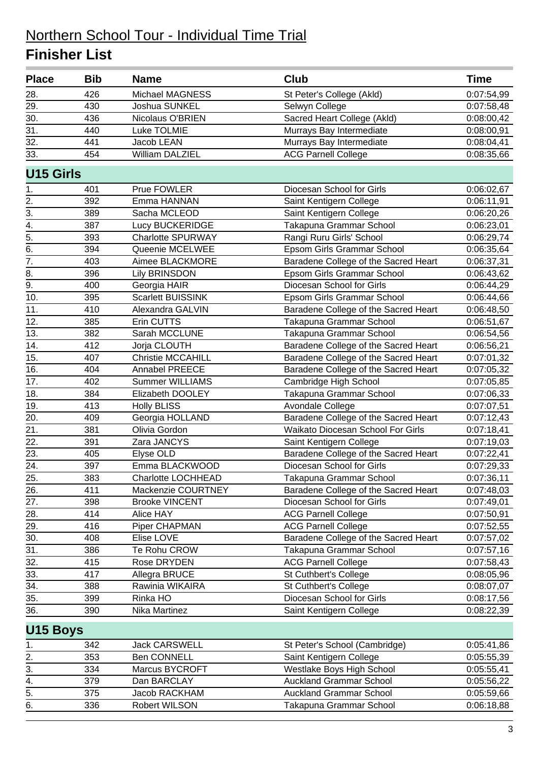| <b>Place</b>     | <b>Bib</b> | <b>Name</b>              | Club                                 | <b>Time</b> |
|------------------|------------|--------------------------|--------------------------------------|-------------|
| 28.              | 426        | Michael MAGNESS          | St Peter's College (Akld)            | 0:07:54,99  |
| 29.              | 430        | Joshua SUNKEL            | Selwyn College                       | 0:07:58,48  |
| 30.              | 436        | Nicolaus O'BRIEN         | Sacred Heart College (Akld)          | 0:08:00,42  |
| 31.              | 440        | Luke TOLMIE              | Murrays Bay Intermediate             | 0:08:00,91  |
| 32.              | 441        | Jacob LEAN               | Murrays Bay Intermediate             | 0:08:04,41  |
| 33.              | 454        | <b>William DALZIEL</b>   | <b>ACG Parnell College</b>           | 0:08:35,66  |
| <b>U15 Girls</b> |            |                          |                                      |             |
| 1.               | 401        | Prue FOWLER              | Diocesan School for Girls            | 0:06:02,67  |
| 2.               | 392        | Emma HANNAN              | Saint Kentigern College              | 0:06:11,91  |
| $\overline{3}$ . | 389        | Sacha MCLEOD             | Saint Kentigern College              | 0:06:20,26  |
| $\overline{4}$ . | 387        | Lucy BUCKERIDGE          | Takapuna Grammar School              | 0:06:23,01  |
| $\overline{5}$ . | 393        | <b>Charlotte SPURWAY</b> | Rangi Ruru Girls' School             | 0:06:29,74  |
| $\overline{6}$ . | 394        | Queenie MCELWEE          | Epsom Girls Grammar School           | 0:06:35,64  |
| $\overline{7}$ . | 403        | Aimee BLACKMORE          | Baradene College of the Sacred Heart | 0:06:37,31  |
| 8.               | 396        | <b>Lily BRINSDON</b>     | Epsom Girls Grammar School           | 0:06:43,62  |
| $\overline{9}$ . | 400        | Georgia HAIR             | Diocesan School for Girls            | 0:06:44,29  |
| 10.              | 395        | <b>Scarlett BUISSINK</b> | Epsom Girls Grammar School           | 0:06:44,66  |
| 11.              | 410        | Alexandra GALVIN         | Baradene College of the Sacred Heart | 0:06:48,50  |
| 12.              | 385        | Erin CUTTS               | Takapuna Grammar School              | 0:06:51,67  |
| 13.              | 382        | Sarah MCCLUNE            | Takapuna Grammar School              | 0:06:54,56  |
| 14.              | 412        | Jorja CLOUTH             | Baradene College of the Sacred Heart | 0:06:56,21  |
| 15.              | 407        | <b>Christie MCCAHILL</b> | Baradene College of the Sacred Heart | 0:07:01,32  |
| 16.              | 404        | Annabel PREECE           | Baradene College of the Sacred Heart | 0:07:05,32  |
| 17.              | 402        | <b>Summer WILLIAMS</b>   | Cambridge High School                | 0:07:05,85  |
| 18.              | 384        | Elizabeth DOOLEY         | Takapuna Grammar School              | 0:07:06,33  |
| 19.              | 413        | <b>Holly BLISS</b>       | Avondale College                     | 0:07:07,51  |
| 20.              | 409        | Georgia HOLLAND          | Baradene College of the Sacred Heart | 0:07:12,43  |
| 21.              | 381        | Olivia Gordon            | Waikato Diocesan School For Girls    | 0:07:18,41  |
| 22.              | 391        | Zara JANCYS              | Saint Kentigern College              | 0:07:19,03  |
| 23.              | 405        | Elyse OLD                | Baradene College of the Sacred Heart | 0:07:22,41  |
| 24.              | 397        | Emma BLACKWOOD           | Diocesan School for Girls            | 0:07:29,33  |
| 25.              | 383        | Charlotte LOCHHEAD       | Takapuna Grammar School              | 0:07:36,11  |
| 26.              | 411        | Mackenzie COURTNEY       | Baradene College of the Sacred Heart | 0:07:48,03  |
| 27.              | 398        | <b>Brooke VINCENT</b>    | Diocesan School for Girls            | 0:07:49,01  |
| 28.              | 414        | Alice HAY                | <b>ACG Parnell College</b>           | 0:07:50,91  |
| 29.              | 416        | Piper CHAPMAN            | <b>ACG Parnell College</b>           | 0:07:52,55  |
| 30.              | 408        | Elise LOVE               | Baradene College of the Sacred Heart | 0:07:57,02  |
| 31.              | 386        | Te Rohu CROW             | Takapuna Grammar School              | 0:07:57,16  |
| 32.              | 415        | Rose DRYDEN              | <b>ACG Parnell College</b>           | 0:07:58,43  |
| 33.              | 417        | Allegra BRUCE            | St Cuthbert's College                | 0:08:05,96  |
| 34.              | 388        | Rawinia WIKAIRA          | St Cuthbert's College                | 0:08:07,07  |
| 35.              | 399        | Rinka HO                 | Diocesan School for Girls            | 0:08:17,56  |
| 36.              | 390        | Nika Martinez            | Saint Kentigern College              | 0:08:22,39  |
| U15 Boys         |            |                          |                                      |             |
| 1.               | 342        | <b>Jack CARSWELL</b>     | St Peter's School (Cambridge)        | 0:05:41,86  |
| 2.               | 353        | <b>Ben CONNELL</b>       | Saint Kentigern College              | 0:05:55,39  |
| $\overline{3}$ . | 334        | Marcus BYCROFT           | Westlake Boys High School            | 0:05:55,41  |
|                  | 379        | Dan BARCLAY              | <b>Auckland Grammar School</b>       | 0:05:56,22  |
| $\frac{4}{5}$    | 375        | Jacob RACKHAM            | <b>Auckland Grammar School</b>       | 0:05:59,66  |
| 6.               | 336        | Robert WILSON            | Takapuna Grammar School              | 0:06:18,88  |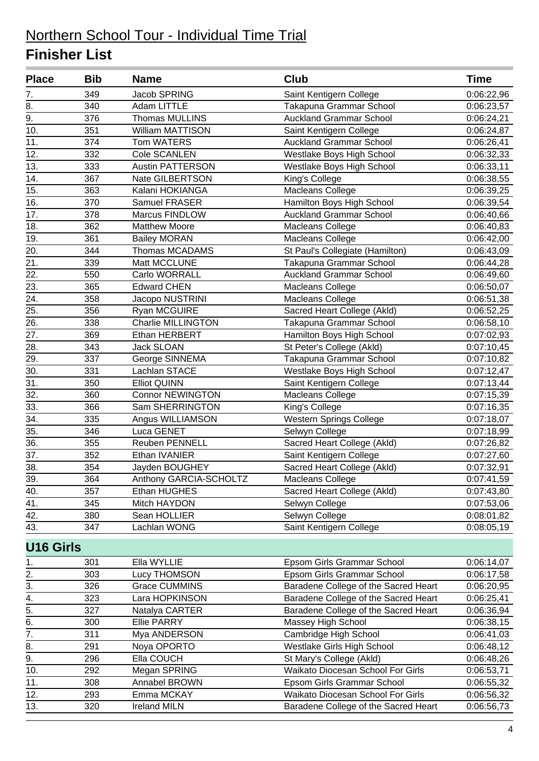| <b>Place</b>      | <b>Bib</b> | <b>Name</b>               | <b>Club</b>                          | <b>Time</b> |
|-------------------|------------|---------------------------|--------------------------------------|-------------|
| 7.                | 349        | Jacob SPRING              | Saint Kentigern College              | 0:06:22,96  |
| 8.                | 340        | Adam LITTLE               | Takapuna Grammar School              | 0:06:23,57  |
| 9.                | 376        | <b>Thomas MULLINS</b>     | <b>Auckland Grammar School</b>       | 0:06:24,21  |
| 10.               | 351        | William MATTISON          | Saint Kentigern College              | 0:06:24,87  |
| 11.               | 374        | Tom WATERS                | <b>Auckland Grammar School</b>       | 0:06:26,41  |
| 12.               | 332        | Cole SCANLEN              | Westlake Boys High School            | 0:06:32,33  |
| 13.               | 333        | <b>Austin PATTERSON</b>   | Westlake Boys High School            | 0:06:33,11  |
| 14.               | 367        | Nate GILBERTSON           | King's College                       | 0:06:38,55  |
| 15.               | 363        | Kalani HOKIANGA           | <b>Macleans College</b>              | 0:06:39,25  |
| 16.               | 370        | Samuel FRASER             | Hamilton Boys High School            | 0:06:39,54  |
| 17.               | 378        | Marcus FINDLOW            | <b>Auckland Grammar School</b>       | 0:06:40,66  |
| 18.               | 362        | <b>Matthew Moore</b>      | Macleans College                     | 0:06:40,83  |
| 19.               | 361        | <b>Bailey MORAN</b>       | Macleans College                     | 0:06:42,00  |
| 20.               | 344        | Thomas MCADAMS            | St Paul's Collegiate (Hamilton)      | 0:06:43,09  |
| 21.               | 339        | Matt MCCLUNE              | Takapuna Grammar School              | 0:06:44,28  |
| 22.               | 550        | Carlo WORRALL             | <b>Auckland Grammar School</b>       | 0:06:49,60  |
| 23.               | 365        | <b>Edward CHEN</b>        | Macleans College                     | 0:06:50,07  |
| 24.               | 358        | Jacopo NUSTRINI           | Macleans College                     | 0:06:51,38  |
| $\overline{25}$ . | 356        | Ryan MCGUIRE              | Sacred Heart College (Akld)          | 0:06:52,25  |
| 26.               | 338        | <b>Charlie MILLINGTON</b> | Takapuna Grammar School              | 0:06:58,10  |
| 27.               | 369        | Ethan HERBERT             | Hamilton Boys High School            | 0:07:02,93  |
| 28.               | 343        | <b>Jack SLOAN</b>         | St Peter's College (Akld)            | 0:07:10,45  |
| 29.               | 337        | George SINNEMA            | Takapuna Grammar School              | 0:07:10,82  |
| 30.               | 331        | Lachlan STACE             | Westlake Boys High School            | 0:07:12,47  |
| 31.               | 350        | <b>Elliot QUINN</b>       | Saint Kentigern College              | 0:07:13,44  |
| 32.               | 360        | <b>Connor NEWINGTON</b>   | Macleans College                     | 0:07:15,39  |
| 33.               | 366        | Sam SHERRINGTON           | King's College                       | 0:07:16,35  |
| 34.               | 335        | Angus WILLIAMSON          | <b>Western Springs College</b>       | 0:07:18,07  |
| 35.               | 346        | Luca GENET                | Selwyn College                       | 0:07:18,99  |
| 36.               | 355        | Reuben PENNELL            | Sacred Heart College (Akld)          | 0:07:26,82  |
| 37.               | 352        | Ethan IVANIER             | Saint Kentigern College              | 0:07:27,60  |
| 38.               | 354        | Jayden BOUGHEY            | Sacred Heart College (Akld)          | 0:07:32,91  |
| 39.               | 364        | Anthony GARCIA-SCHOLTZ    | Macleans College                     | 0:07:41,59  |
| 40.               | 357        | Ethan HUGHES              | Sacred Heart College (Akld)          | 0:07:43,80  |
| 41.               | 345        | Mitch HAYDON              | Selwyn College                       | 0:07:53,06  |
| 42.               | 380        | Sean HOLLIER              | Selwyn College                       | 0:08:01,82  |
| 43.               | 347        | Lachlan WONG              | Saint Kentigern College              | 0:08:05,19  |
| <b>U16 Girls</b>  |            |                           |                                      |             |
| 1.                | 301        | Ella WYLLIE               | Epsom Girls Grammar School           | 0:06:14,07  |
| 2.                | 303        | Lucy THOMSON              | Epsom Girls Grammar School           | 0:06:17,58  |
| 3.                | 326        | <b>Grace CUMMINS</b>      | Baradene College of the Sacred Heart | 0:06:20,95  |
| $\overline{4}$ .  | 323        | Lara HOPKINSON            | Baradene College of the Sacred Heart | 0:06:25,41  |
| $\overline{5}$ .  | 327        | Natalya CARTER            | Baradene College of the Sacred Heart | 0:06:36,94  |
| $\overline{6}$ .  | 300        | <b>Ellie PARRY</b>        | Massey High School                   | 0:06:38,15  |
| $\overline{7}$ .  | 311        | Mya ANDERSON              | Cambridge High School                | 0:06:41,03  |
| 8.                | 291        | Noya OPORTO               | Westlake Girls High School           | 0:06:48,12  |
| 9.                | 296        | Ella COUCH                | St Mary's College (Akld)             | 0:06:48,26  |
| 10.               | 292        | Megan SPRING              | Waikato Diocesan School For Girls    | 0:06:53,71  |
| 11.               | 308        | Annabel BROWN             | Epsom Girls Grammar School           | 0:06:55,32  |
| 12.               | 293        | Emma MCKAY                | Waikato Diocesan School For Girls    | 0:06:56,32  |
| 13.               | 320        | <b>Ireland MILN</b>       | Baradene College of the Sacred Heart | 0:06:56,73  |
|                   |            |                           |                                      |             |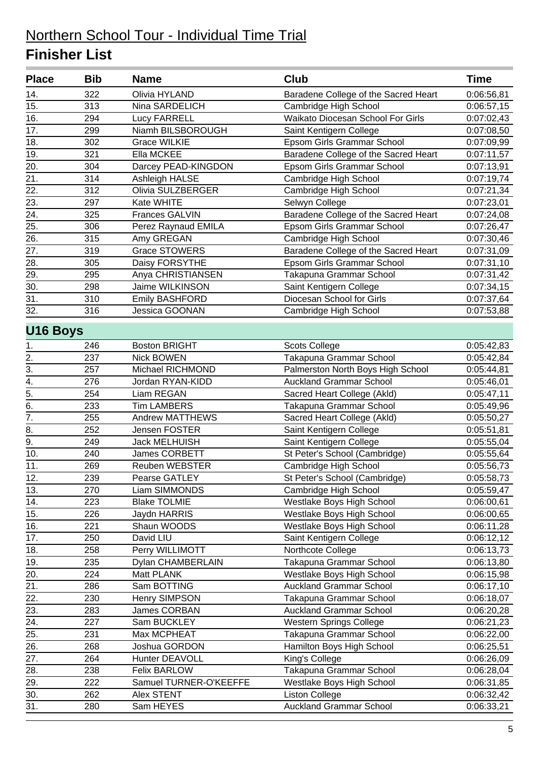| <b>Place</b>      | <b>Bib</b> | <b>Name</b>            | <b>Club</b>                          | <b>Time</b> |
|-------------------|------------|------------------------|--------------------------------------|-------------|
| 14.               | 322        | Olivia HYLAND          | Baradene College of the Sacred Heart | 0:06:56,81  |
| 15.               | 313        | Nina SARDELICH         | Cambridge High School                | 0:06:57,15  |
| 16.               | 294        | <b>Lucy FARRELL</b>    | Waikato Diocesan School For Girls    | 0:07:02,43  |
| 17.               | 299        | Niamh BILSBOROUGH      | Saint Kentigern College              | 0:07:08,50  |
| 18.               | 302        | <b>Grace WILKIE</b>    | Epsom Girls Grammar School           | 0:07:09,99  |
| 19.               | 321        | Ella MCKEE             | Baradene College of the Sacred Heart | 0:07:11,57  |
| 20.               | 304        | Darcey PEAD-KINGDON    | Epsom Girls Grammar School           | 0:07:13,91  |
| 21.               | 314        | Ashleigh HALSE         | Cambridge High School                | 0:07:19,74  |
| 22.               | 312        | Olivia SULZBERGER      | Cambridge High School                | 0:07:21,34  |
| 23.               | 297        | Kate WHITE             | Selwyn College                       | 0:07:23,01  |
| 24.               | 325        | <b>Frances GALVIN</b>  | Baradene College of the Sacred Heart | 0:07:24,08  |
| 25.               | 306        | Perez Raynaud EMILA    | Epsom Girls Grammar School           | 0:07:26,47  |
| 26.               | 315        | Amy GREGAN             | Cambridge High School                | 0:07:30,46  |
| 27.               | 319        | <b>Grace STOWERS</b>   | Baradene College of the Sacred Heart | 0:07:31,09  |
| 28.               | 305        | Daisy FORSYTHE         | Epsom Girls Grammar School           | 0:07:31,10  |
| 29.               | 295        | Anya CHRISTIANSEN      | Takapuna Grammar School              | 0:07:31,42  |
| 30.               | 298        | Jaime WILKINSON        | Saint Kentigern College              | 0:07:34,15  |
| $\overline{31}$ . | 310        | <b>Emily BASHFORD</b>  | Diocesan School for Girls            | 0:07:37,64  |
| 32.               | 316        | <b>Jessica GOONAN</b>  | Cambridge High School                | 0:07:53,88  |
| <b>U16 Boys</b>   |            |                        |                                      |             |
| 1.                | 246        | <b>Boston BRIGHT</b>   | <b>Scots College</b>                 | 0:05:42,83  |
| 2.                | 237        | <b>Nick BOWEN</b>      | Takapuna Grammar School              | 0:05:42,84  |
| 3.                | 257        | Michael RICHMOND       | Palmerston North Boys High School    | 0:05:44,81  |
| $\overline{4}$ .  | 276        | Jordan RYAN-KIDD       | <b>Auckland Grammar School</b>       | 0:05:46,01  |
| 5.                | 254        | Liam REGAN             | Sacred Heart College (Akld)          | 0:05:47,11  |
| 6.                | 233        | Tim LAMBERS            | Takapuna Grammar School              | 0:05:49,96  |
| $\overline{7}$ .  | 255        | <b>Andrew MATTHEWS</b> | Sacred Heart College (Akld)          | 0:05:50,27  |
| 8.                | 252        | <b>Jensen FOSTER</b>   | Saint Kentigern College              | 0:05:51,81  |
| $\overline{9}$ .  | 249        | <b>Jack MELHUISH</b>   | Saint Kentigern College              | 0:05:55,04  |
| 10.               | 240        | James CORBETT          | St Peter's School (Cambridge)        | 0:05:55,64  |
| 11.               | 269        | Reuben WEBSTER         | Cambridge High School                | 0:05:56,73  |
| 12.               | 239        | Pearse GATLEY          | St Peter's School (Cambridge)        | 0:05:58,73  |
| 13.               | 270        | Liam SIMMONDS          | Cambridge High School                | 0:05:59,47  |
| 14.               | 223        | <b>Blake TOLMIE</b>    | Westlake Boys High School            | 0:06:00,61  |
| 15.               | 226        | Jaydn HARRIS           | Westlake Boys High School            | 0:06:00,65  |
| 16.               | 221        | Shaun WOODS            | Westlake Boys High School            | 0:06:11,28  |
| 17.               | 250        | David LIU              | Saint Kentigern College              | 0:06:12,12  |
| 18.               | 258        | Perry WILLIMOTT        | Northcote College                    | 0:06:13,73  |
| 19.               | 235        | Dylan CHAMBERLAIN      | Takapuna Grammar School              | 0:06:13,80  |
| 20.               | 224        | Matt PLANK             | Westlake Boys High School            | 0:06:15,98  |
| 21.               | 286        | Sam BOTTING            | <b>Auckland Grammar School</b>       | 0:06:17,10  |
| 22.               | 230        | Henry SIMPSON          | Takapuna Grammar School              | 0:06:18,07  |
| 23.               | 283        | James CORBAN           | <b>Auckland Grammar School</b>       | 0:06:20,28  |
| 24.               | 227        | Sam BUCKLEY            | Western Springs College              | 0:06:21,23  |
| 25.               | 231        | Max MCPHEAT            | Takapuna Grammar School              | 0:06:22,00  |
| $\overline{26}$ . | 268        | Joshua GORDON          | Hamilton Boys High School            | 0:06:25,51  |
| 27.               | 264        | Hunter DEAVOLL         | King's College                       | 0:06:26,09  |
| 28.               | 238        | <b>Felix BARLOW</b>    | Takapuna Grammar School              | 0:06:28,04  |
| 29.               | 222        | Samuel TURNER-O'KEEFFE | Westlake Boys High School            | 0:06:31,85  |
| 30.               | 262        | Alex STENT             | <b>Liston College</b>                | 0:06:32,42  |
| 31.               | 280        | Sam HEYES              | <b>Auckland Grammar School</b>       | 0:06:33,21  |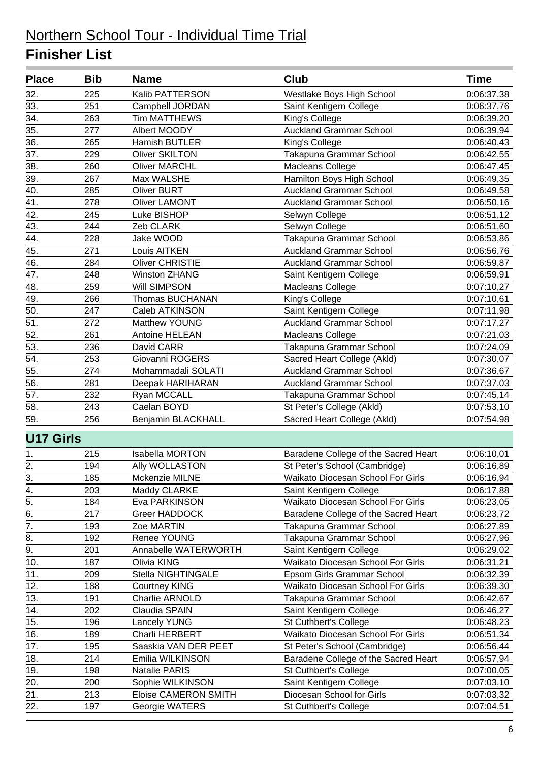| 32.<br>225<br>Kalib PATTERSON<br>Westlake Boys High School<br>0:06:37,38<br>33.<br>251<br>Campbell JORDAN<br>Saint Kentigern College<br>0:06:37,76<br>34.<br><b>Tim MATTHEWS</b><br>263<br>King's College<br>0:06:39,20<br>$\overline{35}$ .<br>277<br><b>Auckland Grammar School</b><br>Albert MOODY<br>0:06:39,94<br>36.<br>265<br>Hamish BUTLER<br>King's College<br>0:06:40,43<br>37.<br>229<br><b>Oliver SKILTON</b><br>Takapuna Grammar School<br>0:06:42,55<br>Macleans College<br>38.<br>260<br><b>Oliver MARCHL</b><br>0:06:47,45<br>39.<br>Hamilton Boys High School<br>267<br>Max WALSHE<br>0:06:49,35<br>40.<br>285<br><b>Oliver BURT</b><br><b>Auckland Grammar School</b><br>0:06:49,58<br>41.<br>278<br><b>Oliver LAMONT</b><br><b>Auckland Grammar School</b><br>0:06:50,16<br>42.<br>245<br>Luke BISHOP<br>Selwyn College<br>0:06:51,12<br>43.<br>244<br>Zeb CLARK<br>Selwyn College<br>0:06:51,60<br>44.<br>228<br>Takapuna Grammar School<br>Jake WOOD<br>0:06:53,86<br>45.<br>271<br>Louis AITKEN<br><b>Auckland Grammar School</b><br>0:06:56,76<br>284<br>46.<br><b>Oliver CHRISTIE</b><br><b>Auckland Grammar School</b><br>0:06:59,87<br>47.<br>248<br><b>Winston ZHANG</b><br>0:06:59,91<br>Saint Kentigern College<br>48.<br>259<br>Will SIMPSON<br>Macleans College<br>0:07:10,27<br>49.<br>266<br>Thomas BUCHANAN<br>King's College<br>0:07:10,61<br>50.<br>247<br>Caleb ATKINSON<br>Saint Kentigern College<br>0:07:11,98<br>51.<br>Matthew YOUNG<br><b>Auckland Grammar School</b><br>272<br>0:07:17,27<br>52.<br>261<br>Antoine HELEAN<br>0:07:21,03<br>Macleans College<br>53.<br>236<br>Takapuna Grammar School<br>David CARR<br>0:07:24,09<br>54.<br>253<br>Sacred Heart College (Akld)<br>Giovanni ROGERS<br>0:07:30,07<br>55.<br>274<br>Mohammadali SOLATI<br><b>Auckland Grammar School</b><br>0:07:36,67<br>56.<br>281<br>Deepak HARIHARAN<br><b>Auckland Grammar School</b><br>0:07:37,03<br>57.<br>232<br>Takapuna Grammar School<br>Ryan MCCALL<br>0:07:45,14<br>58.<br>243<br>Caelan BOYD<br>St Peter's College (Akld)<br>0:07:53,10<br>59.<br>Sacred Heart College (Akld)<br>256<br>Benjamin BLACKHALL<br>0:07:54,98<br><b>U17 Girls</b><br>Baradene College of the Sacred Heart<br>Isabella MORTON<br>0:06:10,01<br>215<br>1.<br>2.<br>194<br>Ally WOLLASTON<br>St Peter's School (Cambridge)<br>0.06:16,89<br>$\frac{3}{4}$<br>Waikato Diocesan School For Girls<br>185<br>Mckenzie MILNE<br>0:06:16,94<br>203<br>Maddy CLARKE<br>Saint Kentigern College<br>0:06:17,88<br>5.<br>184<br>Waikato Diocesan School For Girls<br>Eva PARKINSON<br>0:06:23,05<br>6.<br>217<br>Greer HADDOCK<br>Baradene College of the Sacred Heart<br>0:06:23,72<br>$\overline{7}$ .<br>193<br>Takapuna Grammar School<br>Zoe MARTIN<br>0:06:27,89<br>8.<br>192<br>Renee YOUNG<br>Takapuna Grammar School<br>0:06:27,96<br>9.<br>201<br>Annabelle WATERWORTH<br>Saint Kentigern College<br>0:06:29,02<br>187<br>Waikato Diocesan School For Girls<br>Olivia KING<br>10.<br>0:06:31,21<br>11.<br>Stella NIGHTINGALE<br>Epsom Girls Grammar School<br>209<br>0:06:32,39<br>12.<br>188<br><b>Courtney KING</b><br>Waikato Diocesan School For Girls<br>0:06:39,30<br>13.<br>191<br>Charlie ARNOLD<br>Takapuna Grammar School<br>0:06:42,67<br>14.<br>202<br>Saint Kentigern College<br>Claudia SPAIN<br>0:06:46,27<br>15.<br>196<br><b>Lancely YUNG</b><br>St Cuthbert's College<br>0:06:48,23<br>16.<br>189<br>Charli HERBERT<br>Waikato Diocesan School For Girls<br>0:06:51,34<br>17.<br>195<br>Saaskia VAN DER PEET<br>St Peter's School (Cambridge)<br>0:06:56,44<br>18.<br>214<br>Emilia WILKINSON<br>Baradene College of the Sacred Heart<br>0:06:57,94<br>19.<br>198<br>Natalie PARIS<br>St Cuthbert's College<br>0:07:00,05<br>20.<br>200<br>Sophie WILKINSON<br>Saint Kentigern College<br>0:07:03,10<br>$\overline{21}$ .<br>Diocesan School for Girls<br>213<br>Eloise CAMERON SMITH<br>0:07:03,32<br>22.<br>197<br>Georgie WATERS<br>St Cuthbert's College<br>0:07:04,51 | <b>Place</b> | <b>Bib</b> | <b>Name</b> | <b>Club</b> | <b>Time</b> |
|-------------------------------------------------------------------------------------------------------------------------------------------------------------------------------------------------------------------------------------------------------------------------------------------------------------------------------------------------------------------------------------------------------------------------------------------------------------------------------------------------------------------------------------------------------------------------------------------------------------------------------------------------------------------------------------------------------------------------------------------------------------------------------------------------------------------------------------------------------------------------------------------------------------------------------------------------------------------------------------------------------------------------------------------------------------------------------------------------------------------------------------------------------------------------------------------------------------------------------------------------------------------------------------------------------------------------------------------------------------------------------------------------------------------------------------------------------------------------------------------------------------------------------------------------------------------------------------------------------------------------------------------------------------------------------------------------------------------------------------------------------------------------------------------------------------------------------------------------------------------------------------------------------------------------------------------------------------------------------------------------------------------------------------------------------------------------------------------------------------------------------------------------------------------------------------------------------------------------------------------------------------------------------------------------------------------------------------------------------------------------------------------------------------------------------------------------------------------------------------------------------------------------------------------------------------------------------------------------------------------------------------------------------------------------------------------------------------------------------------------------------------------------------------------------------------------------------------------------------------------------------------------------------------------------------------------------------------------------------------------------------------------------------------------------------------------------------------------------------------------------------------------------------------------------------------------------------------------------------------------------------------------------------------------------------------------------------------------------------------------------------------------------------------------------------------------------------------------------------------------------------------------------------------------------------------------------------------------------------------------------------------------------------------------------------------------------------------------------------------------------------------------------------------------------------------------------------------------------------------------------------------------------------------------------------------------------------------------------------------------------------------|--------------|------------|-------------|-------------|-------------|
|                                                                                                                                                                                                                                                                                                                                                                                                                                                                                                                                                                                                                                                                                                                                                                                                                                                                                                                                                                                                                                                                                                                                                                                                                                                                                                                                                                                                                                                                                                                                                                                                                                                                                                                                                                                                                                                                                                                                                                                                                                                                                                                                                                                                                                                                                                                                                                                                                                                                                                                                                                                                                                                                                                                                                                                                                                                                                                                                                                                                                                                                                                                                                                                                                                                                                                                                                                                                                                                                                                                                                                                                                                                                                                                                                                                                                                                                                                                                                                                                             |              |            |             |             |             |
|                                                                                                                                                                                                                                                                                                                                                                                                                                                                                                                                                                                                                                                                                                                                                                                                                                                                                                                                                                                                                                                                                                                                                                                                                                                                                                                                                                                                                                                                                                                                                                                                                                                                                                                                                                                                                                                                                                                                                                                                                                                                                                                                                                                                                                                                                                                                                                                                                                                                                                                                                                                                                                                                                                                                                                                                                                                                                                                                                                                                                                                                                                                                                                                                                                                                                                                                                                                                                                                                                                                                                                                                                                                                                                                                                                                                                                                                                                                                                                                                             |              |            |             |             |             |
|                                                                                                                                                                                                                                                                                                                                                                                                                                                                                                                                                                                                                                                                                                                                                                                                                                                                                                                                                                                                                                                                                                                                                                                                                                                                                                                                                                                                                                                                                                                                                                                                                                                                                                                                                                                                                                                                                                                                                                                                                                                                                                                                                                                                                                                                                                                                                                                                                                                                                                                                                                                                                                                                                                                                                                                                                                                                                                                                                                                                                                                                                                                                                                                                                                                                                                                                                                                                                                                                                                                                                                                                                                                                                                                                                                                                                                                                                                                                                                                                             |              |            |             |             |             |
|                                                                                                                                                                                                                                                                                                                                                                                                                                                                                                                                                                                                                                                                                                                                                                                                                                                                                                                                                                                                                                                                                                                                                                                                                                                                                                                                                                                                                                                                                                                                                                                                                                                                                                                                                                                                                                                                                                                                                                                                                                                                                                                                                                                                                                                                                                                                                                                                                                                                                                                                                                                                                                                                                                                                                                                                                                                                                                                                                                                                                                                                                                                                                                                                                                                                                                                                                                                                                                                                                                                                                                                                                                                                                                                                                                                                                                                                                                                                                                                                             |              |            |             |             |             |
|                                                                                                                                                                                                                                                                                                                                                                                                                                                                                                                                                                                                                                                                                                                                                                                                                                                                                                                                                                                                                                                                                                                                                                                                                                                                                                                                                                                                                                                                                                                                                                                                                                                                                                                                                                                                                                                                                                                                                                                                                                                                                                                                                                                                                                                                                                                                                                                                                                                                                                                                                                                                                                                                                                                                                                                                                                                                                                                                                                                                                                                                                                                                                                                                                                                                                                                                                                                                                                                                                                                                                                                                                                                                                                                                                                                                                                                                                                                                                                                                             |              |            |             |             |             |
|                                                                                                                                                                                                                                                                                                                                                                                                                                                                                                                                                                                                                                                                                                                                                                                                                                                                                                                                                                                                                                                                                                                                                                                                                                                                                                                                                                                                                                                                                                                                                                                                                                                                                                                                                                                                                                                                                                                                                                                                                                                                                                                                                                                                                                                                                                                                                                                                                                                                                                                                                                                                                                                                                                                                                                                                                                                                                                                                                                                                                                                                                                                                                                                                                                                                                                                                                                                                                                                                                                                                                                                                                                                                                                                                                                                                                                                                                                                                                                                                             |              |            |             |             |             |
|                                                                                                                                                                                                                                                                                                                                                                                                                                                                                                                                                                                                                                                                                                                                                                                                                                                                                                                                                                                                                                                                                                                                                                                                                                                                                                                                                                                                                                                                                                                                                                                                                                                                                                                                                                                                                                                                                                                                                                                                                                                                                                                                                                                                                                                                                                                                                                                                                                                                                                                                                                                                                                                                                                                                                                                                                                                                                                                                                                                                                                                                                                                                                                                                                                                                                                                                                                                                                                                                                                                                                                                                                                                                                                                                                                                                                                                                                                                                                                                                             |              |            |             |             |             |
|                                                                                                                                                                                                                                                                                                                                                                                                                                                                                                                                                                                                                                                                                                                                                                                                                                                                                                                                                                                                                                                                                                                                                                                                                                                                                                                                                                                                                                                                                                                                                                                                                                                                                                                                                                                                                                                                                                                                                                                                                                                                                                                                                                                                                                                                                                                                                                                                                                                                                                                                                                                                                                                                                                                                                                                                                                                                                                                                                                                                                                                                                                                                                                                                                                                                                                                                                                                                                                                                                                                                                                                                                                                                                                                                                                                                                                                                                                                                                                                                             |              |            |             |             |             |
|                                                                                                                                                                                                                                                                                                                                                                                                                                                                                                                                                                                                                                                                                                                                                                                                                                                                                                                                                                                                                                                                                                                                                                                                                                                                                                                                                                                                                                                                                                                                                                                                                                                                                                                                                                                                                                                                                                                                                                                                                                                                                                                                                                                                                                                                                                                                                                                                                                                                                                                                                                                                                                                                                                                                                                                                                                                                                                                                                                                                                                                                                                                                                                                                                                                                                                                                                                                                                                                                                                                                                                                                                                                                                                                                                                                                                                                                                                                                                                                                             |              |            |             |             |             |
|                                                                                                                                                                                                                                                                                                                                                                                                                                                                                                                                                                                                                                                                                                                                                                                                                                                                                                                                                                                                                                                                                                                                                                                                                                                                                                                                                                                                                                                                                                                                                                                                                                                                                                                                                                                                                                                                                                                                                                                                                                                                                                                                                                                                                                                                                                                                                                                                                                                                                                                                                                                                                                                                                                                                                                                                                                                                                                                                                                                                                                                                                                                                                                                                                                                                                                                                                                                                                                                                                                                                                                                                                                                                                                                                                                                                                                                                                                                                                                                                             |              |            |             |             |             |
|                                                                                                                                                                                                                                                                                                                                                                                                                                                                                                                                                                                                                                                                                                                                                                                                                                                                                                                                                                                                                                                                                                                                                                                                                                                                                                                                                                                                                                                                                                                                                                                                                                                                                                                                                                                                                                                                                                                                                                                                                                                                                                                                                                                                                                                                                                                                                                                                                                                                                                                                                                                                                                                                                                                                                                                                                                                                                                                                                                                                                                                                                                                                                                                                                                                                                                                                                                                                                                                                                                                                                                                                                                                                                                                                                                                                                                                                                                                                                                                                             |              |            |             |             |             |
|                                                                                                                                                                                                                                                                                                                                                                                                                                                                                                                                                                                                                                                                                                                                                                                                                                                                                                                                                                                                                                                                                                                                                                                                                                                                                                                                                                                                                                                                                                                                                                                                                                                                                                                                                                                                                                                                                                                                                                                                                                                                                                                                                                                                                                                                                                                                                                                                                                                                                                                                                                                                                                                                                                                                                                                                                                                                                                                                                                                                                                                                                                                                                                                                                                                                                                                                                                                                                                                                                                                                                                                                                                                                                                                                                                                                                                                                                                                                                                                                             |              |            |             |             |             |
|                                                                                                                                                                                                                                                                                                                                                                                                                                                                                                                                                                                                                                                                                                                                                                                                                                                                                                                                                                                                                                                                                                                                                                                                                                                                                                                                                                                                                                                                                                                                                                                                                                                                                                                                                                                                                                                                                                                                                                                                                                                                                                                                                                                                                                                                                                                                                                                                                                                                                                                                                                                                                                                                                                                                                                                                                                                                                                                                                                                                                                                                                                                                                                                                                                                                                                                                                                                                                                                                                                                                                                                                                                                                                                                                                                                                                                                                                                                                                                                                             |              |            |             |             |             |
|                                                                                                                                                                                                                                                                                                                                                                                                                                                                                                                                                                                                                                                                                                                                                                                                                                                                                                                                                                                                                                                                                                                                                                                                                                                                                                                                                                                                                                                                                                                                                                                                                                                                                                                                                                                                                                                                                                                                                                                                                                                                                                                                                                                                                                                                                                                                                                                                                                                                                                                                                                                                                                                                                                                                                                                                                                                                                                                                                                                                                                                                                                                                                                                                                                                                                                                                                                                                                                                                                                                                                                                                                                                                                                                                                                                                                                                                                                                                                                                                             |              |            |             |             |             |
|                                                                                                                                                                                                                                                                                                                                                                                                                                                                                                                                                                                                                                                                                                                                                                                                                                                                                                                                                                                                                                                                                                                                                                                                                                                                                                                                                                                                                                                                                                                                                                                                                                                                                                                                                                                                                                                                                                                                                                                                                                                                                                                                                                                                                                                                                                                                                                                                                                                                                                                                                                                                                                                                                                                                                                                                                                                                                                                                                                                                                                                                                                                                                                                                                                                                                                                                                                                                                                                                                                                                                                                                                                                                                                                                                                                                                                                                                                                                                                                                             |              |            |             |             |             |
|                                                                                                                                                                                                                                                                                                                                                                                                                                                                                                                                                                                                                                                                                                                                                                                                                                                                                                                                                                                                                                                                                                                                                                                                                                                                                                                                                                                                                                                                                                                                                                                                                                                                                                                                                                                                                                                                                                                                                                                                                                                                                                                                                                                                                                                                                                                                                                                                                                                                                                                                                                                                                                                                                                                                                                                                                                                                                                                                                                                                                                                                                                                                                                                                                                                                                                                                                                                                                                                                                                                                                                                                                                                                                                                                                                                                                                                                                                                                                                                                             |              |            |             |             |             |
|                                                                                                                                                                                                                                                                                                                                                                                                                                                                                                                                                                                                                                                                                                                                                                                                                                                                                                                                                                                                                                                                                                                                                                                                                                                                                                                                                                                                                                                                                                                                                                                                                                                                                                                                                                                                                                                                                                                                                                                                                                                                                                                                                                                                                                                                                                                                                                                                                                                                                                                                                                                                                                                                                                                                                                                                                                                                                                                                                                                                                                                                                                                                                                                                                                                                                                                                                                                                                                                                                                                                                                                                                                                                                                                                                                                                                                                                                                                                                                                                             |              |            |             |             |             |
|                                                                                                                                                                                                                                                                                                                                                                                                                                                                                                                                                                                                                                                                                                                                                                                                                                                                                                                                                                                                                                                                                                                                                                                                                                                                                                                                                                                                                                                                                                                                                                                                                                                                                                                                                                                                                                                                                                                                                                                                                                                                                                                                                                                                                                                                                                                                                                                                                                                                                                                                                                                                                                                                                                                                                                                                                                                                                                                                                                                                                                                                                                                                                                                                                                                                                                                                                                                                                                                                                                                                                                                                                                                                                                                                                                                                                                                                                                                                                                                                             |              |            |             |             |             |
|                                                                                                                                                                                                                                                                                                                                                                                                                                                                                                                                                                                                                                                                                                                                                                                                                                                                                                                                                                                                                                                                                                                                                                                                                                                                                                                                                                                                                                                                                                                                                                                                                                                                                                                                                                                                                                                                                                                                                                                                                                                                                                                                                                                                                                                                                                                                                                                                                                                                                                                                                                                                                                                                                                                                                                                                                                                                                                                                                                                                                                                                                                                                                                                                                                                                                                                                                                                                                                                                                                                                                                                                                                                                                                                                                                                                                                                                                                                                                                                                             |              |            |             |             |             |
|                                                                                                                                                                                                                                                                                                                                                                                                                                                                                                                                                                                                                                                                                                                                                                                                                                                                                                                                                                                                                                                                                                                                                                                                                                                                                                                                                                                                                                                                                                                                                                                                                                                                                                                                                                                                                                                                                                                                                                                                                                                                                                                                                                                                                                                                                                                                                                                                                                                                                                                                                                                                                                                                                                                                                                                                                                                                                                                                                                                                                                                                                                                                                                                                                                                                                                                                                                                                                                                                                                                                                                                                                                                                                                                                                                                                                                                                                                                                                                                                             |              |            |             |             |             |
|                                                                                                                                                                                                                                                                                                                                                                                                                                                                                                                                                                                                                                                                                                                                                                                                                                                                                                                                                                                                                                                                                                                                                                                                                                                                                                                                                                                                                                                                                                                                                                                                                                                                                                                                                                                                                                                                                                                                                                                                                                                                                                                                                                                                                                                                                                                                                                                                                                                                                                                                                                                                                                                                                                                                                                                                                                                                                                                                                                                                                                                                                                                                                                                                                                                                                                                                                                                                                                                                                                                                                                                                                                                                                                                                                                                                                                                                                                                                                                                                             |              |            |             |             |             |
|                                                                                                                                                                                                                                                                                                                                                                                                                                                                                                                                                                                                                                                                                                                                                                                                                                                                                                                                                                                                                                                                                                                                                                                                                                                                                                                                                                                                                                                                                                                                                                                                                                                                                                                                                                                                                                                                                                                                                                                                                                                                                                                                                                                                                                                                                                                                                                                                                                                                                                                                                                                                                                                                                                                                                                                                                                                                                                                                                                                                                                                                                                                                                                                                                                                                                                                                                                                                                                                                                                                                                                                                                                                                                                                                                                                                                                                                                                                                                                                                             |              |            |             |             |             |
|                                                                                                                                                                                                                                                                                                                                                                                                                                                                                                                                                                                                                                                                                                                                                                                                                                                                                                                                                                                                                                                                                                                                                                                                                                                                                                                                                                                                                                                                                                                                                                                                                                                                                                                                                                                                                                                                                                                                                                                                                                                                                                                                                                                                                                                                                                                                                                                                                                                                                                                                                                                                                                                                                                                                                                                                                                                                                                                                                                                                                                                                                                                                                                                                                                                                                                                                                                                                                                                                                                                                                                                                                                                                                                                                                                                                                                                                                                                                                                                                             |              |            |             |             |             |
|                                                                                                                                                                                                                                                                                                                                                                                                                                                                                                                                                                                                                                                                                                                                                                                                                                                                                                                                                                                                                                                                                                                                                                                                                                                                                                                                                                                                                                                                                                                                                                                                                                                                                                                                                                                                                                                                                                                                                                                                                                                                                                                                                                                                                                                                                                                                                                                                                                                                                                                                                                                                                                                                                                                                                                                                                                                                                                                                                                                                                                                                                                                                                                                                                                                                                                                                                                                                                                                                                                                                                                                                                                                                                                                                                                                                                                                                                                                                                                                                             |              |            |             |             |             |
|                                                                                                                                                                                                                                                                                                                                                                                                                                                                                                                                                                                                                                                                                                                                                                                                                                                                                                                                                                                                                                                                                                                                                                                                                                                                                                                                                                                                                                                                                                                                                                                                                                                                                                                                                                                                                                                                                                                                                                                                                                                                                                                                                                                                                                                                                                                                                                                                                                                                                                                                                                                                                                                                                                                                                                                                                                                                                                                                                                                                                                                                                                                                                                                                                                                                                                                                                                                                                                                                                                                                                                                                                                                                                                                                                                                                                                                                                                                                                                                                             |              |            |             |             |             |
|                                                                                                                                                                                                                                                                                                                                                                                                                                                                                                                                                                                                                                                                                                                                                                                                                                                                                                                                                                                                                                                                                                                                                                                                                                                                                                                                                                                                                                                                                                                                                                                                                                                                                                                                                                                                                                                                                                                                                                                                                                                                                                                                                                                                                                                                                                                                                                                                                                                                                                                                                                                                                                                                                                                                                                                                                                                                                                                                                                                                                                                                                                                                                                                                                                                                                                                                                                                                                                                                                                                                                                                                                                                                                                                                                                                                                                                                                                                                                                                                             |              |            |             |             |             |
|                                                                                                                                                                                                                                                                                                                                                                                                                                                                                                                                                                                                                                                                                                                                                                                                                                                                                                                                                                                                                                                                                                                                                                                                                                                                                                                                                                                                                                                                                                                                                                                                                                                                                                                                                                                                                                                                                                                                                                                                                                                                                                                                                                                                                                                                                                                                                                                                                                                                                                                                                                                                                                                                                                                                                                                                                                                                                                                                                                                                                                                                                                                                                                                                                                                                                                                                                                                                                                                                                                                                                                                                                                                                                                                                                                                                                                                                                                                                                                                                             |              |            |             |             |             |
|                                                                                                                                                                                                                                                                                                                                                                                                                                                                                                                                                                                                                                                                                                                                                                                                                                                                                                                                                                                                                                                                                                                                                                                                                                                                                                                                                                                                                                                                                                                                                                                                                                                                                                                                                                                                                                                                                                                                                                                                                                                                                                                                                                                                                                                                                                                                                                                                                                                                                                                                                                                                                                                                                                                                                                                                                                                                                                                                                                                                                                                                                                                                                                                                                                                                                                                                                                                                                                                                                                                                                                                                                                                                                                                                                                                                                                                                                                                                                                                                             |              |            |             |             |             |
|                                                                                                                                                                                                                                                                                                                                                                                                                                                                                                                                                                                                                                                                                                                                                                                                                                                                                                                                                                                                                                                                                                                                                                                                                                                                                                                                                                                                                                                                                                                                                                                                                                                                                                                                                                                                                                                                                                                                                                                                                                                                                                                                                                                                                                                                                                                                                                                                                                                                                                                                                                                                                                                                                                                                                                                                                                                                                                                                                                                                                                                                                                                                                                                                                                                                                                                                                                                                                                                                                                                                                                                                                                                                                                                                                                                                                                                                                                                                                                                                             |              |            |             |             |             |
|                                                                                                                                                                                                                                                                                                                                                                                                                                                                                                                                                                                                                                                                                                                                                                                                                                                                                                                                                                                                                                                                                                                                                                                                                                                                                                                                                                                                                                                                                                                                                                                                                                                                                                                                                                                                                                                                                                                                                                                                                                                                                                                                                                                                                                                                                                                                                                                                                                                                                                                                                                                                                                                                                                                                                                                                                                                                                                                                                                                                                                                                                                                                                                                                                                                                                                                                                                                                                                                                                                                                                                                                                                                                                                                                                                                                                                                                                                                                                                                                             |              |            |             |             |             |
|                                                                                                                                                                                                                                                                                                                                                                                                                                                                                                                                                                                                                                                                                                                                                                                                                                                                                                                                                                                                                                                                                                                                                                                                                                                                                                                                                                                                                                                                                                                                                                                                                                                                                                                                                                                                                                                                                                                                                                                                                                                                                                                                                                                                                                                                                                                                                                                                                                                                                                                                                                                                                                                                                                                                                                                                                                                                                                                                                                                                                                                                                                                                                                                                                                                                                                                                                                                                                                                                                                                                                                                                                                                                                                                                                                                                                                                                                                                                                                                                             |              |            |             |             |             |
|                                                                                                                                                                                                                                                                                                                                                                                                                                                                                                                                                                                                                                                                                                                                                                                                                                                                                                                                                                                                                                                                                                                                                                                                                                                                                                                                                                                                                                                                                                                                                                                                                                                                                                                                                                                                                                                                                                                                                                                                                                                                                                                                                                                                                                                                                                                                                                                                                                                                                                                                                                                                                                                                                                                                                                                                                                                                                                                                                                                                                                                                                                                                                                                                                                                                                                                                                                                                                                                                                                                                                                                                                                                                                                                                                                                                                                                                                                                                                                                                             |              |            |             |             |             |
|                                                                                                                                                                                                                                                                                                                                                                                                                                                                                                                                                                                                                                                                                                                                                                                                                                                                                                                                                                                                                                                                                                                                                                                                                                                                                                                                                                                                                                                                                                                                                                                                                                                                                                                                                                                                                                                                                                                                                                                                                                                                                                                                                                                                                                                                                                                                                                                                                                                                                                                                                                                                                                                                                                                                                                                                                                                                                                                                                                                                                                                                                                                                                                                                                                                                                                                                                                                                                                                                                                                                                                                                                                                                                                                                                                                                                                                                                                                                                                                                             |              |            |             |             |             |
|                                                                                                                                                                                                                                                                                                                                                                                                                                                                                                                                                                                                                                                                                                                                                                                                                                                                                                                                                                                                                                                                                                                                                                                                                                                                                                                                                                                                                                                                                                                                                                                                                                                                                                                                                                                                                                                                                                                                                                                                                                                                                                                                                                                                                                                                                                                                                                                                                                                                                                                                                                                                                                                                                                                                                                                                                                                                                                                                                                                                                                                                                                                                                                                                                                                                                                                                                                                                                                                                                                                                                                                                                                                                                                                                                                                                                                                                                                                                                                                                             |              |            |             |             |             |
|                                                                                                                                                                                                                                                                                                                                                                                                                                                                                                                                                                                                                                                                                                                                                                                                                                                                                                                                                                                                                                                                                                                                                                                                                                                                                                                                                                                                                                                                                                                                                                                                                                                                                                                                                                                                                                                                                                                                                                                                                                                                                                                                                                                                                                                                                                                                                                                                                                                                                                                                                                                                                                                                                                                                                                                                                                                                                                                                                                                                                                                                                                                                                                                                                                                                                                                                                                                                                                                                                                                                                                                                                                                                                                                                                                                                                                                                                                                                                                                                             |              |            |             |             |             |
|                                                                                                                                                                                                                                                                                                                                                                                                                                                                                                                                                                                                                                                                                                                                                                                                                                                                                                                                                                                                                                                                                                                                                                                                                                                                                                                                                                                                                                                                                                                                                                                                                                                                                                                                                                                                                                                                                                                                                                                                                                                                                                                                                                                                                                                                                                                                                                                                                                                                                                                                                                                                                                                                                                                                                                                                                                                                                                                                                                                                                                                                                                                                                                                                                                                                                                                                                                                                                                                                                                                                                                                                                                                                                                                                                                                                                                                                                                                                                                                                             |              |            |             |             |             |
|                                                                                                                                                                                                                                                                                                                                                                                                                                                                                                                                                                                                                                                                                                                                                                                                                                                                                                                                                                                                                                                                                                                                                                                                                                                                                                                                                                                                                                                                                                                                                                                                                                                                                                                                                                                                                                                                                                                                                                                                                                                                                                                                                                                                                                                                                                                                                                                                                                                                                                                                                                                                                                                                                                                                                                                                                                                                                                                                                                                                                                                                                                                                                                                                                                                                                                                                                                                                                                                                                                                                                                                                                                                                                                                                                                                                                                                                                                                                                                                                             |              |            |             |             |             |
|                                                                                                                                                                                                                                                                                                                                                                                                                                                                                                                                                                                                                                                                                                                                                                                                                                                                                                                                                                                                                                                                                                                                                                                                                                                                                                                                                                                                                                                                                                                                                                                                                                                                                                                                                                                                                                                                                                                                                                                                                                                                                                                                                                                                                                                                                                                                                                                                                                                                                                                                                                                                                                                                                                                                                                                                                                                                                                                                                                                                                                                                                                                                                                                                                                                                                                                                                                                                                                                                                                                                                                                                                                                                                                                                                                                                                                                                                                                                                                                                             |              |            |             |             |             |
|                                                                                                                                                                                                                                                                                                                                                                                                                                                                                                                                                                                                                                                                                                                                                                                                                                                                                                                                                                                                                                                                                                                                                                                                                                                                                                                                                                                                                                                                                                                                                                                                                                                                                                                                                                                                                                                                                                                                                                                                                                                                                                                                                                                                                                                                                                                                                                                                                                                                                                                                                                                                                                                                                                                                                                                                                                                                                                                                                                                                                                                                                                                                                                                                                                                                                                                                                                                                                                                                                                                                                                                                                                                                                                                                                                                                                                                                                                                                                                                                             |              |            |             |             |             |
|                                                                                                                                                                                                                                                                                                                                                                                                                                                                                                                                                                                                                                                                                                                                                                                                                                                                                                                                                                                                                                                                                                                                                                                                                                                                                                                                                                                                                                                                                                                                                                                                                                                                                                                                                                                                                                                                                                                                                                                                                                                                                                                                                                                                                                                                                                                                                                                                                                                                                                                                                                                                                                                                                                                                                                                                                                                                                                                                                                                                                                                                                                                                                                                                                                                                                                                                                                                                                                                                                                                                                                                                                                                                                                                                                                                                                                                                                                                                                                                                             |              |            |             |             |             |
|                                                                                                                                                                                                                                                                                                                                                                                                                                                                                                                                                                                                                                                                                                                                                                                                                                                                                                                                                                                                                                                                                                                                                                                                                                                                                                                                                                                                                                                                                                                                                                                                                                                                                                                                                                                                                                                                                                                                                                                                                                                                                                                                                                                                                                                                                                                                                                                                                                                                                                                                                                                                                                                                                                                                                                                                                                                                                                                                                                                                                                                                                                                                                                                                                                                                                                                                                                                                                                                                                                                                                                                                                                                                                                                                                                                                                                                                                                                                                                                                             |              |            |             |             |             |
|                                                                                                                                                                                                                                                                                                                                                                                                                                                                                                                                                                                                                                                                                                                                                                                                                                                                                                                                                                                                                                                                                                                                                                                                                                                                                                                                                                                                                                                                                                                                                                                                                                                                                                                                                                                                                                                                                                                                                                                                                                                                                                                                                                                                                                                                                                                                                                                                                                                                                                                                                                                                                                                                                                                                                                                                                                                                                                                                                                                                                                                                                                                                                                                                                                                                                                                                                                                                                                                                                                                                                                                                                                                                                                                                                                                                                                                                                                                                                                                                             |              |            |             |             |             |
|                                                                                                                                                                                                                                                                                                                                                                                                                                                                                                                                                                                                                                                                                                                                                                                                                                                                                                                                                                                                                                                                                                                                                                                                                                                                                                                                                                                                                                                                                                                                                                                                                                                                                                                                                                                                                                                                                                                                                                                                                                                                                                                                                                                                                                                                                                                                                                                                                                                                                                                                                                                                                                                                                                                                                                                                                                                                                                                                                                                                                                                                                                                                                                                                                                                                                                                                                                                                                                                                                                                                                                                                                                                                                                                                                                                                                                                                                                                                                                                                             |              |            |             |             |             |
|                                                                                                                                                                                                                                                                                                                                                                                                                                                                                                                                                                                                                                                                                                                                                                                                                                                                                                                                                                                                                                                                                                                                                                                                                                                                                                                                                                                                                                                                                                                                                                                                                                                                                                                                                                                                                                                                                                                                                                                                                                                                                                                                                                                                                                                                                                                                                                                                                                                                                                                                                                                                                                                                                                                                                                                                                                                                                                                                                                                                                                                                                                                                                                                                                                                                                                                                                                                                                                                                                                                                                                                                                                                                                                                                                                                                                                                                                                                                                                                                             |              |            |             |             |             |
|                                                                                                                                                                                                                                                                                                                                                                                                                                                                                                                                                                                                                                                                                                                                                                                                                                                                                                                                                                                                                                                                                                                                                                                                                                                                                                                                                                                                                                                                                                                                                                                                                                                                                                                                                                                                                                                                                                                                                                                                                                                                                                                                                                                                                                                                                                                                                                                                                                                                                                                                                                                                                                                                                                                                                                                                                                                                                                                                                                                                                                                                                                                                                                                                                                                                                                                                                                                                                                                                                                                                                                                                                                                                                                                                                                                                                                                                                                                                                                                                             |              |            |             |             |             |
|                                                                                                                                                                                                                                                                                                                                                                                                                                                                                                                                                                                                                                                                                                                                                                                                                                                                                                                                                                                                                                                                                                                                                                                                                                                                                                                                                                                                                                                                                                                                                                                                                                                                                                                                                                                                                                                                                                                                                                                                                                                                                                                                                                                                                                                                                                                                                                                                                                                                                                                                                                                                                                                                                                                                                                                                                                                                                                                                                                                                                                                                                                                                                                                                                                                                                                                                                                                                                                                                                                                                                                                                                                                                                                                                                                                                                                                                                                                                                                                                             |              |            |             |             |             |
|                                                                                                                                                                                                                                                                                                                                                                                                                                                                                                                                                                                                                                                                                                                                                                                                                                                                                                                                                                                                                                                                                                                                                                                                                                                                                                                                                                                                                                                                                                                                                                                                                                                                                                                                                                                                                                                                                                                                                                                                                                                                                                                                                                                                                                                                                                                                                                                                                                                                                                                                                                                                                                                                                                                                                                                                                                                                                                                                                                                                                                                                                                                                                                                                                                                                                                                                                                                                                                                                                                                                                                                                                                                                                                                                                                                                                                                                                                                                                                                                             |              |            |             |             |             |
|                                                                                                                                                                                                                                                                                                                                                                                                                                                                                                                                                                                                                                                                                                                                                                                                                                                                                                                                                                                                                                                                                                                                                                                                                                                                                                                                                                                                                                                                                                                                                                                                                                                                                                                                                                                                                                                                                                                                                                                                                                                                                                                                                                                                                                                                                                                                                                                                                                                                                                                                                                                                                                                                                                                                                                                                                                                                                                                                                                                                                                                                                                                                                                                                                                                                                                                                                                                                                                                                                                                                                                                                                                                                                                                                                                                                                                                                                                                                                                                                             |              |            |             |             |             |
|                                                                                                                                                                                                                                                                                                                                                                                                                                                                                                                                                                                                                                                                                                                                                                                                                                                                                                                                                                                                                                                                                                                                                                                                                                                                                                                                                                                                                                                                                                                                                                                                                                                                                                                                                                                                                                                                                                                                                                                                                                                                                                                                                                                                                                                                                                                                                                                                                                                                                                                                                                                                                                                                                                                                                                                                                                                                                                                                                                                                                                                                                                                                                                                                                                                                                                                                                                                                                                                                                                                                                                                                                                                                                                                                                                                                                                                                                                                                                                                                             |              |            |             |             |             |
|                                                                                                                                                                                                                                                                                                                                                                                                                                                                                                                                                                                                                                                                                                                                                                                                                                                                                                                                                                                                                                                                                                                                                                                                                                                                                                                                                                                                                                                                                                                                                                                                                                                                                                                                                                                                                                                                                                                                                                                                                                                                                                                                                                                                                                                                                                                                                                                                                                                                                                                                                                                                                                                                                                                                                                                                                                                                                                                                                                                                                                                                                                                                                                                                                                                                                                                                                                                                                                                                                                                                                                                                                                                                                                                                                                                                                                                                                                                                                                                                             |              |            |             |             |             |
|                                                                                                                                                                                                                                                                                                                                                                                                                                                                                                                                                                                                                                                                                                                                                                                                                                                                                                                                                                                                                                                                                                                                                                                                                                                                                                                                                                                                                                                                                                                                                                                                                                                                                                                                                                                                                                                                                                                                                                                                                                                                                                                                                                                                                                                                                                                                                                                                                                                                                                                                                                                                                                                                                                                                                                                                                                                                                                                                                                                                                                                                                                                                                                                                                                                                                                                                                                                                                                                                                                                                                                                                                                                                                                                                                                                                                                                                                                                                                                                                             |              |            |             |             |             |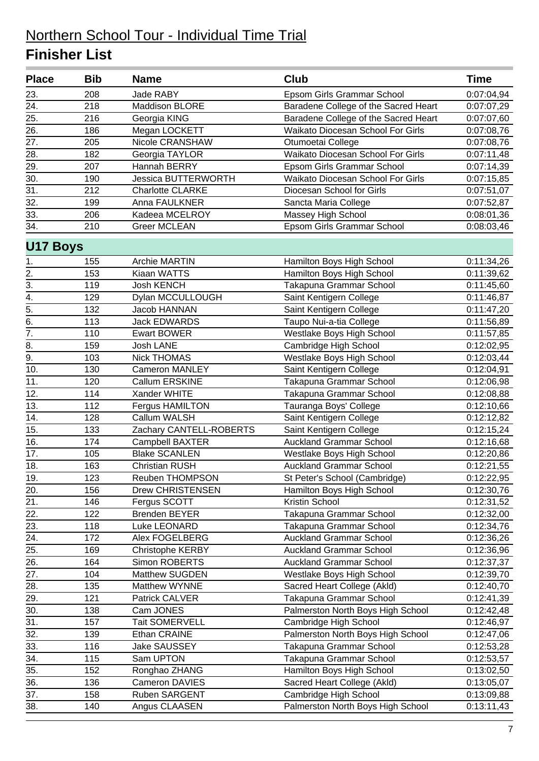| <b>Place</b>      | <b>Bib</b> | <b>Name</b>                | <b>Club</b>                          | <b>Time</b> |
|-------------------|------------|----------------------------|--------------------------------------|-------------|
| 23.               | 208        | <b>Jade RABY</b>           | Epsom Girls Grammar School           | 0:07:04,94  |
| 24.               | 218        | Maddison BLORE             | Baradene College of the Sacred Heart | 0:07:07,29  |
| 25.               | 216        | Georgia KING               | Baradene College of the Sacred Heart | 0:07:07,60  |
| 26.               | 186        | Megan LOCKETT              | Waikato Diocesan School For Girls    | 0:07:08,76  |
| 27.               | 205        | Nicole CRANSHAW            | Otumoetai College                    | 0:07:08,76  |
| 28.               | 182        | Georgia TAYLOR             | Waikato Diocesan School For Girls    | 0:07:11,48  |
| 29.               | 207        | Hannah BERRY               | Epsom Girls Grammar School           | 0:07:14,39  |
| 30.               | 190        | <b>Jessica BUTTERWORTH</b> | Waikato Diocesan School For Girls    | 0:07:15,85  |
| $\overline{31}$ . | 212        | <b>Charlotte CLARKE</b>    | Diocesan School for Girls            | 0:07:51,07  |
| 32.               | 199        | Anna FAULKNER              | Sancta Maria College                 | 0:07:52,87  |
| 33.               | 206        | Kadeea MCELROY             | Massey High School                   | 0:08:01,36  |
| 34.               | 210        | <b>Greer MCLEAN</b>        | Epsom Girls Grammar School           | 0:08:03,46  |
| <b>U17 Boys</b>   |            |                            |                                      |             |
| 1.                | 155        | <b>Archie MARTIN</b>       | Hamilton Boys High School            | 0:11:34,26  |
| $\overline{2}$ .  | 153        | Kiaan WATTS                | Hamilton Boys High School            | 0:11:39,62  |
| $\overline{3}$ .  | 119        | <b>Josh KENCH</b>          | Takapuna Grammar School              | 0:11:45,60  |
| 4.                | 129        | Dylan MCCULLOUGH           | Saint Kentigern College              | 0:11:46,87  |
| 5.                | 132        | Jacob HANNAN               | Saint Kentigern College              | 0:11:47,20  |
| $\overline{6}$ .  | 113        | <b>Jack EDWARDS</b>        | Taupo Nui-a-tia College              | 0:11:56,89  |
| $\overline{7}$ .  | 110        | <b>Ewart BOWER</b>         | Westlake Boys High School            | 0:11:57,85  |
| 8.                | 159        | Josh LANE                  | Cambridge High School                | 0:12:02,95  |
| 9.                | 103        | <b>Nick THOMAS</b>         | Westlake Boys High School            | 0:12:03,44  |
| 10.               | 130        | Cameron MANLEY             | Saint Kentigern College              | 0:12:04,91  |
| 11.               | 120        | Callum ERSKINE             | Takapuna Grammar School              | 0:12:06,98  |
| 12.               | 114        | Xander WHITE               | Takapuna Grammar School              | 0:12:08,88  |
| 13.               | 112        | Fergus HAMILTON            | Tauranga Boys' College               | 0:12:10,66  |
| 14.               | 128        | Callum WALSH               | Saint Kentigern College              | 0:12:12,82  |
| 15.               | 133        | Zachary CANTELL-ROBERTS    | Saint Kentigern College              | 0:12:15,24  |
| 16.               | 174        | Campbell BAXTER            | <b>Auckland Grammar School</b>       | 0:12:16,68  |
| 17.               | 105        | <b>Blake SCANLEN</b>       | Westlake Boys High School            | 0:12:20,86  |
| $\overline{18}$ . | 163        | <b>Christian RUSH</b>      | <b>Auckland Grammar School</b>       | 0:12:21,55  |
| 19.               | 123        | Reuben THOMPSON            | St Peter's School (Cambridge)        | 0:12:22,95  |
| 20.               | 156        | Drew CHRISTENSEN           | Hamilton Boys High School            | 0:12:30,76  |
| 21.               | 146        | Fergus SCOTT               | Kristin School                       | 0:12:31,52  |
| 22.               | 122        | <b>Brenden BEYER</b>       | Takapuna Grammar School              | 0:12:32,00  |
| 23.               | 118        | Luke LEONARD               | Takapuna Grammar School              | 0:12:34,76  |
| 24.               | 172        | Alex FOGELBERG             | <b>Auckland Grammar School</b>       | 0:12:36,26  |
| 25.               | 169        | Christophe KERBY           | <b>Auckland Grammar School</b>       | 0:12:36,96  |
| 26.               | 164        | Simon ROBERTS              | <b>Auckland Grammar School</b>       | 0:12:37,37  |
| 27.               | 104        | Matthew SUGDEN             | Westlake Boys High School            | 0:12:39,70  |
| 28.               | 135        | Matthew WYNNE              | Sacred Heart College (Akld)          | 0:12:40,70  |
| 29.               | 121        | Patrick CALVER             | Takapuna Grammar School              | 0:12:41,39  |
| 30.               | 138        | Cam JONES                  | Palmerston North Boys High School    | 0:12:42,48  |
| 31.               | 157        | Tait SOMERVELL             | Cambridge High School                | 0:12:46,97  |
| 32.               | 139        | Ethan CRAINE               | Palmerston North Boys High School    | 0:12:47,06  |
| 33.               | 116        | Jake SAUSSEY               | Takapuna Grammar School              | 0:12:53,28  |
| 34.               | 115        | Sam UPTON                  | Takapuna Grammar School              | 0:12:53,57  |
| 35.               | 152        | Ronghao ZHANG              | Hamilton Boys High School            | 0:13:02,50  |
| 36.               | 136        | Cameron DAVIES             | Sacred Heart College (Akld)          | 0:13:05,07  |
| 37.               | 158        | Ruben SARGENT              | Cambridge High School                | 0:13:09,88  |
| 38.               | 140        | Angus CLAASEN              | Palmerston North Boys High School    | 0:13:11,43  |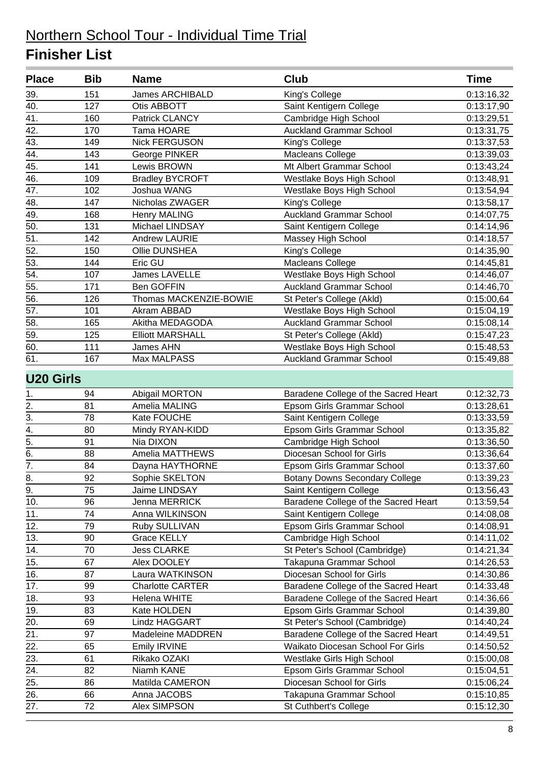| <b>Place</b>     | <b>Bib</b>      | <b>Name</b>             | <b>Club</b>                           | <b>Time</b> |
|------------------|-----------------|-------------------------|---------------------------------------|-------------|
| 39.              | 151             | <b>James ARCHIBALD</b>  | King's College                        | 0:13:16,32  |
| 40.              | 127             | Otis ABBOTT             | Saint Kentigern College               | 0:13:17,90  |
| 41.              | 160             | Patrick CLANCY          | Cambridge High School                 | 0:13:29,51  |
| 42.              | 170             | Tama HOARE              | <b>Auckland Grammar School</b>        | 0:13:31,75  |
| 43.              | 149             | <b>Nick FERGUSON</b>    | King's College                        | 0:13:37,53  |
| 44.              | 143             | George PINKER           | <b>Macleans College</b>               | 0:13:39,03  |
| 45.              | 141             | Lewis BROWN             | Mt Albert Grammar School              | 0:13:43,24  |
| 46.              | 109             | <b>Bradley BYCROFT</b>  | Westlake Boys High School             | 0:13:48,91  |
| 47.              | 102             | Joshua WANG             | Westlake Boys High School             | 0:13:54,94  |
| 48.              | 147             | Nicholas ZWAGER         | King's College                        | 0:13:58,17  |
| 49.              | 168             | <b>Henry MALING</b>     | <b>Auckland Grammar School</b>        | 0:14:07,75  |
| 50.              | 131             | Michael LINDSAY         | Saint Kentigern College               | 0:14:14,96  |
| 51.              | 142             | <b>Andrew LAURIE</b>    | Massey High School                    | 0:14:18,57  |
| 52.              | 150             | Ollie DUNSHEA           | King's College                        | 0:14:35,90  |
| 53.              | 144             | Eric GU                 | <b>Macleans College</b>               | 0:14:45,81  |
| 54.              | 107             | James LAVELLE           | Westlake Boys High School             | 0:14:46,07  |
| 55.              | 171             | Ben GOFFIN              | <b>Auckland Grammar School</b>        | 0:14:46,70  |
| 56.              | 126             | Thomas MACKENZIE-BOWIE  | St Peter's College (Akld)             | 0:15:00,64  |
| 57.              | 101             | Akram ABBAD             | Westlake Boys High School             | 0:15:04,19  |
| 58.              | 165             | Akitha MEDAGODA         | <b>Auckland Grammar School</b>        | 0:15:08,14  |
| 59.              | 125             | <b>Elliott MARSHALL</b> | St Peter's College (Akld)             | 0:15:47,23  |
| 60.              | 111             | James AHN               | Westlake Boys High School             | 0:15:48,53  |
| 61.              | 167             | Max MALPASS             | <b>Auckland Grammar School</b>        | 0:15:49,88  |
| <b>U20 Girls</b> |                 |                         |                                       |             |
| 1.               | 94              | Abigail MORTON          | Baradene College of the Sacred Heart  | 0:12:32,73  |
| 2.               | 81              | Amelia MALING           | Epsom Girls Grammar School            | 0:13:28,61  |
| $\overline{3}$ . | 78              | Kate FOUCHE             | Saint Kentigern College               | 0:13:33,59  |
| $\overline{4}$ . | 80              | Mindy RYAN-KIDD         | Epsom Girls Grammar School            | 0:13:35,82  |
| $\overline{5}$ . | 91              | Nia DIXON               | Cambridge High School                 | 0:13:36,50  |
| 6.               | 88              | Amelia MATTHEWS         | Diocesan School for Girls             | 0:13:36,64  |
| $\overline{7}$ . | 84              | Dayna HAYTHORNE         | Epsom Girls Grammar School            | 0:13:37,60  |
| $\overline{8}$ . | $\overline{92}$ | Sophie SKELTON          | <b>Botany Downs Secondary College</b> | 0:13:39,23  |
| 9.               | 75              | Jaime LINDSAY           | Saint Kentigern College               | 0:13:56,43  |
| 10.              | 96              | Jenna MERRICK           | Baradene College of the Sacred Heart  | 0:13:59,54  |
| 11.              | 74              | Anna WILKINSON          | Saint Kentigern College               | 0:14:08,08  |
| 12.              | 79              | Ruby SULLIVAN           | Epsom Girls Grammar School            | 0:14:08,91  |
| 13.              | 90              | <b>Grace KELLY</b>      | Cambridge High School                 | 0:14:11,02  |
| 14.              | 70              | <b>Jess CLARKE</b>      | St Peter's School (Cambridge)         | 0:14:21,34  |
| 15.              | 67              | Alex DOOLEY             | Takapuna Grammar School               | 0:14:26,53  |
| 16.              | 87              | Laura WATKINSON         | Diocesan School for Girls             | 0:14:30,86  |
| 17.              | 99              | <b>Charlotte CARTER</b> | Baradene College of the Sacred Heart  | 0:14:33,48  |
| 18.              | 93              | <b>Helena WHITE</b>     | Baradene College of the Sacred Heart  | 0:14:36,66  |
| 19.              | 83              | Kate HOLDEN             | Epsom Girls Grammar School            | 0:14:39,80  |
| 20.              | 69              | Lindz HAGGART           | St Peter's School (Cambridge)         | 0:14:40,24  |
| 21.              | 97              | Madeleine MADDREN       | Baradene College of the Sacred Heart  | 0:14:49,51  |
| 22.              | 65              | Emily IRVINE            | Waikato Diocesan School For Girls     | 0:14:50,52  |
| 23.              | 61              | Rikako OZAKI            | Westlake Girls High School            | 0:15:00,08  |
| 24.              | 82              | Niamh KANE              | Epsom Girls Grammar School            | 0:15:04,51  |
| 25.              | 86              | Matilda CAMERON         | Diocesan School for Girls             | 0:15:06,24  |
| 26.              | 66              | Anna JACOBS             | Takapuna Grammar School               | 0:15:10,85  |
| 27.              | 72              | Alex SIMPSON            | St Cuthbert's College                 | 0:15:12,30  |
|                  |                 |                         |                                       |             |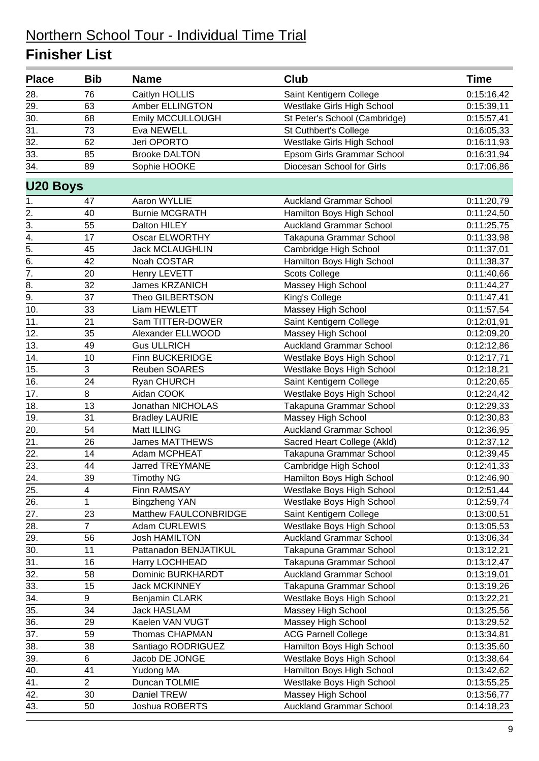| <b>Place</b>      | <b>Bib</b>       | <b>Name</b>             | <b>Club</b>                    | <b>Time</b> |
|-------------------|------------------|-------------------------|--------------------------------|-------------|
| 28.               | 76               | Caitlyn HOLLIS          | Saint Kentigern College        | 0:15:16,42  |
| 29.               | 63               | <b>Amber ELLINGTON</b>  | Westlake Girls High School     | 0:15:39,11  |
| 30.               | 68               | <b>Emily MCCULLOUGH</b> | St Peter's School (Cambridge)  | 0:15:57,41  |
| $\overline{31}$ . | 73               | Eva NEWELL              | St Cuthbert's College          | 0:16:05,33  |
| 32.               | 62               | Jeri OPORTO             | Westlake Girls High School     | 0:16:11,93  |
| $\overline{33}$ . | 85               | <b>Brooke DALTON</b>    | Epsom Girls Grammar School     | 0:16:31,94  |
| 34.               | 89               | Sophie HOOKE            | Diocesan School for Girls      | 0:17:06,86  |
| <b>U20 Boys</b>   |                  |                         |                                |             |
| 1.                | 47               | Aaron WYLLIE            | <b>Auckland Grammar School</b> | 0:11:20,79  |
| $\overline{2}$ .  | 40               | <b>Burnie MCGRATH</b>   | Hamilton Boys High School      | 0:11:24,50  |
| $\overline{3}$ .  | 55               | Dalton HILEY            | <b>Auckland Grammar School</b> | 0:11:25,75  |
| 4.                | 17               | <b>Oscar ELWORTHY</b>   | Takapuna Grammar School        | 0:11:33,98  |
| $\overline{5}$ .  | 45               | <b>Jack MCLAUGHLIN</b>  | Cambridge High School          | 0:11:37,01  |
| $\overline{6}$    | 42               | Noah COSTAR             | Hamilton Boys High School      | 0:11:38,37  |
| 7.                | 20               | Henry LEVETT            | <b>Scots College</b>           | 0:11:40,66  |
| 8.                | 32               | <b>James KRZANICH</b>   | Massey High School             | 0:11:44,27  |
| 9.                | 37               | Theo GILBERTSON         | King's College                 | 0:11:47,41  |
| 10.               | 33               | Liam HEWLETT            | Massey High School             | 0:11:57,54  |
| 11.               | 21               | Sam TITTER-DOWER        | Saint Kentigern College        | 0:12:01,91  |
| 12.               | 35               | Alexander ELLWOOD       | Massey High School             | 0:12:09,20  |
| 13.               | 49               | <b>Gus ULLRICH</b>      | <b>Auckland Grammar School</b> | 0:12:12,86  |
| 14.               | 10               | <b>Finn BUCKERIDGE</b>  | Westlake Boys High School      | 0:12:17,71  |
| 15.               | 3                | Reuben SOARES           | Westlake Boys High School      | 0:12:18,21  |
| 16.               | 24               | <b>Ryan CHURCH</b>      | Saint Kentigern College        | 0:12:20,65  |
| 17.               | 8                | Aidan COOK              | Westlake Boys High School      | 0:12:24,42  |
| 18.               | 13               | Jonathan NICHOLAS       | Takapuna Grammar School        | 0:12:29,33  |
| 19.               | 31               | <b>Bradley LAURIE</b>   | Massey High School             | 0:12:30,83  |
| 20.               | 54               | Matt ILLING             | <b>Auckland Grammar School</b> | 0:12:36,95  |
| 21.               | 26               | <b>James MATTHEWS</b>   | Sacred Heart College (Akld)    | 0:12:37,12  |
| 22.               | 14               | Adam MCPHEAT            | Takapuna Grammar School        | 0:12:39,45  |
| $\overline{23}$ . | 44               | <b>Jarred TREYMANE</b>  | Cambridge High School          | 0:12:41,33  |
| 24.               | 39               | <b>Timothy NG</b>       | Hamilton Boys High School      | 0:12:46,90  |
| 25.               | 4                | Finn RAMSAY             | Westlake Boys High School      | 0:12:51,44  |
| 26.               | 1                | <b>Bingzheng YAN</b>    | Westlake Boys High School      | 0:12:59,74  |
| 27.               | 23               | Matthew FAULCONBRIDGE   | Saint Kentigern College        | 0:13:00,51  |
| 28.               | $\overline{7}$   | Adam CURLEWIS           | Westlake Boys High School      | 0:13:05,53  |
| 29.               | 56               | <b>Josh HAMILTON</b>    | <b>Auckland Grammar School</b> | 0:13:06,34  |
| 30.               | 11               | Pattanadon BENJATIKUL   | Takapuna Grammar School        | 0:13:12,21  |
| 31.               | 16               | Harry LOCHHEAD          | Takapuna Grammar School        | 0:13:12,47  |
| 32.               | 58               | Dominic BURKHARDT       | <b>Auckland Grammar School</b> | 0:13:19,01  |
| 33.               | 15               | <b>Jack MCKINNEY</b>    | Takapuna Grammar School        | 0:13:19,26  |
| 34.               | $\boldsymbol{9}$ | <b>Benjamin CLARK</b>   | Westlake Boys High School      | 0:13:22,21  |
| 35.               | 34               | <b>Jack HASLAM</b>      | Massey High School             | 0:13:25,56  |
| 36.               | 29               | Kaelen VAN VUGT         | Massey High School             | 0:13:29,52  |
| 37.               | 59               | Thomas CHAPMAN          | <b>ACG Parnell College</b>     | 0:13:34,81  |
| 38.               | 38               | Santiago RODRIGUEZ      | Hamilton Boys High School      | 0:13:35,60  |
| 39.               | 6                | Jacob DE JONGE          | Westlake Boys High School      | 0:13:38,64  |
| 40.               | 41               | Yudong MA               | Hamilton Boys High School      | 0:13:42,62  |
| 41.               | $\overline{c}$   | Duncan TOLMIE           | Westlake Boys High School      | 0:13:55,25  |
| 42.               | 30               | Daniel TREW             | Massey High School             | 0:13:56,77  |
| 43.               | 50               | Joshua ROBERTS          | <b>Auckland Grammar School</b> | 0:14:18,23  |